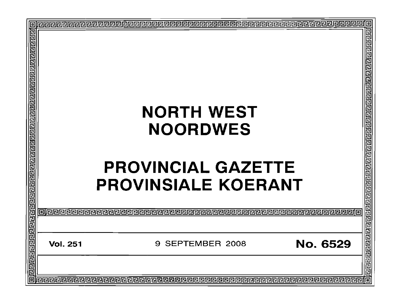| <u> बिग्विरोचागवाने निश्चार्यवाद्यान स्वाय निष्टाग्वागवान निष्टाग्वान निष्टाग्वागवाने निष्टाग्वागवाने निष्टा</u> |                 | <b>NORTH WEST</b><br><b>NOORDWES</b><br><b>PROVINCIAL GAZETTE</b>                                                                            |                                                |
|------------------------------------------------------------------------------------------------------------------|-----------------|----------------------------------------------------------------------------------------------------------------------------------------------|------------------------------------------------|
|                                                                                                                  |                 | <b>PROVINSIALE KOERANT</b><br>oje e e e especie e e e especie de la construcción de la construcción de la construcción de la construcción de | <u>बोग्रनस्थान प्राग्न प्राग्न गण्डा गण्डा</u> |
|                                                                                                                  |                 |                                                                                                                                              |                                                |
|                                                                                                                  | <b>Vol. 251</b> | SEPTEMBER 2008<br>9                                                                                                                          | <b>No. 6529</b>                                |
| 靣                                                                                                                |                 |                                                                                                                                              |                                                |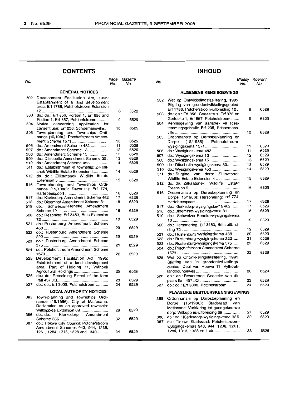## **CON"rENTS INHOUD**

| No.        |                                                                                                                          | Page<br>No. | Gazette<br>No. |
|------------|--------------------------------------------------------------------------------------------------------------------------|-------------|----------------|
|            | <b>GENERAL NOTICES</b>                                                                                                   |             |                |
| 502        | Development Facilitation Act,<br>1995:<br>Establishment of a land development<br>area: Erf 1788, Potchefstroom Extension |             |                |
| 503        | 12<br>do.: do.: Erf 856, Portion 1, Erf 856 and<br>Portion 1, Erf 857, Potchefstroom                                     | 8<br>9      | 6529<br>6529   |
| 504        | Notice concerning application for<br>consent use: Erf 238, Schoemansville                                                | 10          | 6529           |
| 505        | Town-planning and Townships Ordi-<br>nance (15/1986): Potchefstroom Amend-                                               |             |                |
|            | ment Scheme 1571                                                                                                         | 10          | 6529           |
| 506        | do.: Amendment Scheme 482                                                                                                | 11          | 6529           |
| 507        | do.: Amendment Scheme 13                                                                                                 | 12          | 6529           |
| 508        | do.: Amendment Scheme 15                                                                                                 | 12          | 6529           |
| 509        | do.: Ditsobotla Amendment Scheme 30.                                                                                     | 13          | 6529           |
|            |                                                                                                                          |             |                |
| 510<br>511 | do.: Amendment Scheme 453<br>do.: Establishment of township: Zilkaat-                                                    | 14          | 6529           |
| 512        | snek Wildlife Estate Extension 4<br>do.: do.: Zilkaatsnek Wildlife Estate                                                | 14          | 6529           |
|            |                                                                                                                          | 15          | 6529           |
| 516        | Town-planning and Townships Ordi-<br>nance (15/1986): Rezoning: Erf 774,                                                 |             |                |
|            |                                                                                                                          | 16          | 6529           |
| 517        | do.: Klerksdorp Amendment Scheme 462                                                                                     | 17          | 6529           |
| 518        | do.: Bloemhof Amendment Scheme 31                                                                                        | 18          | 6529           |
| 519        | do.: Schweizer-Reneke Amendment                                                                                          |             |                |
|            |                                                                                                                          | 18          | 6529           |
| 520        | do.: Rezoning: Erf 3463, Brits Extension                                                                                 | 19          | 6529           |
| 521        | do.: Rustenburg Amendment Scheme                                                                                         | 20          | 6529           |
| 522        | do.: Rustenburg Amendment Scheme                                                                                         | 20          | 6529           |
| 523        | do.: Rustenburg Amendment Scheme                                                                                         | 21          | 6529           |
| 524        | do.: Potchefstroom Amendment Scheme                                                                                      | 22          | 6529           |
| 525        | Development Facilitation Act, 1995:<br>Establishment of a land development<br>area: Part of Holding 11, Vyfhoek          |             |                |
| 526        | Agricultural Holdings<br>do.: do.: Remaining Extent of the farm                                                          | 25          | 6529<br>6529   |
| 527        | do.: do.: Erf 3000, Potchefstroom                                                                                        | 23<br>24    | 6529           |
|            | <b>LOCAL AUTHORITY NOTICES</b>                                                                                           |             |                |
| 385        | Town-planning and Townships Ordi-<br>nance (15/1986): City of Matlosana:<br>Declaration as an approved township:         |             |                |
| 386        | Wilkoppies Extension 69<br>Klerksdorp Amendment<br>do.: do.:                                                             | 29          | 6529           |
| 387        | do.: Tlokwe City Council: Potchefstroom                                                                                  | 32          | 6529           |
|            | Amendment Schemes 943, 944, 1236,<br>1261, 1284, 1313, 1328 and 1340                                                     | 34          | 6529           |
|            |                                                                                                                          |             |                |

| age<br>No. | Gazette<br>No. | No. |                                                                                     | Bladsy<br>No. | Koerant<br>No. |
|------------|----------------|-----|-------------------------------------------------------------------------------------|---------------|----------------|
|            |                |     | <b>ALGEMENE KENNISGEWINGS</b>                                                       |               |                |
|            |                | 502 | Wet op Ontwikkelingsfasilitering, 1995:<br>Stigting van grondontwikkelingsgebied:   |               |                |
| 8          | 6529           | 503 | Erf 1788, Potchefstroom-uitbreiding 12<br>do.: do.: Erf 856, Gedeelte 1, Erf 876 en | 8             | 6529           |
| 9          | 6529           | 504 | Gedeelte 1, Erf 857, Potchefstroom<br>Kennisgewing van aansoek vir toes-            | 9             | 6529           |
| 10         | 6529           |     | temmingsgebruik: Erf 238, Schoemans-                                                | 10            | 6529           |
| 10         | 6529           | 505 | Ordonnansie op Dorpsbeplanning en<br>(15/1986): Potchefstroom-<br>Dorpe             |               |                |
| 11         | 6529           |     | wysigingskema 1571                                                                  | 11            | 6529           |
| 12         | 6529           | 506 | do.: Wysigingskema 482                                                              | 11            | 6529           |
| 12         | 6529           | 507 | do.: Wysigingskema 13                                                               | 12            | 6529           |
| 13         | 6529           | 508 |                                                                                     | 13            | 6529           |
| 14         | 6529           |     | do.: Wysigingskema 15                                                               |               |                |
|            |                | 509 | do.: Ditsobotla-wysigingskema 30                                                    | 13            | 6529           |
| 14         | 6529           | 510 | do.: Wysigingskema 453                                                              | 14            | 6529           |
|            |                | 511 | do.: Stigting van dorp: Zilkaatsnek                                                 |               |                |
| 15         | 6529           |     | Wildlife Estate Extension 4                                                         | 15            | 6529           |
|            |                | 512 | do.: do.: Zilkaatsnek Wildlife<br>Estate                                            |               |                |
|            |                |     |                                                                                     | 16            | 6529           |
|            |                |     |                                                                                     |               |                |
| 16         | 6529           | 516 | Ordonnansie op Dorpsbeplanning en                                                   |               |                |
| 17         | 6529           |     | Dorpe (15/1986): Hersonering: Erf 774,                                              |               |                |
| 18         | 6529           |     |                                                                                     | 17            | 6529           |
|            |                | 517 | do.: Klerksdorp-wysigingskema 462                                                   | 17            | 6529           |
| 18         | 6529           | 518 | do.: Bloemfhof-wysigingskema 31                                                     | 18            | 6529           |
|            |                | 519 | do.: Schweizer-Reneke-wysigingskema                                                 |               |                |
| 19         | 6529           |     |                                                                                     | 19            | 6529           |
|            |                |     |                                                                                     |               |                |
| 20         | 6529           | 520 | do.: Hersonering: Erf 3463, Brits-uitbrei-                                          |               |                |
|            |                |     |                                                                                     | 19            | 6529           |
| 20         | 6529           | 521 | do.: Rustenburg-wysigingskema 488                                                   | 20            | 6529           |
|            |                | 522 | do.: Rustenburg-wysigingskema 222                                                   | 21            | 6529           |
| 21         | 6529           | 523 | do.: Rustenburg-wysigingskema 375                                                   | 22            | 6529           |
|            |                | 524 | do.: Potchefstroom Amendment Scheme                                                 |               |                |
|            |                |     |                                                                                     | 22            | 6529           |
| 22         | 6529           |     | Wet op Ontwikkelingsfasilitering, 1995:                                             |               |                |
|            |                | 525 |                                                                                     |               |                |
|            |                |     | Stigting van 'n grondontwikkelings-                                                 |               |                |
|            |                |     | gebied: Deel van Hoewe 11, Vyfhoek-                                                 |               |                |
| 25         | 6529           |     |                                                                                     | 26            | 6529           |
|            |                | 526 | do.: do.: Resterende Gedeelte van die                                               |               |                |
| 23         | 6529           |     |                                                                                     | 23            | 6529           |
| 24         | 6529           | 527 | do.: do.: Erf 3000, Potchefstroom                                                   | 24            | 6529           |
|            |                |     |                                                                                     |               |                |
|            |                |     | <b>PLAASLIKE BESTUURSKENNISGEWINGS</b>                                              |               |                |
|            |                |     | Ordonnansie op Dorpsbeplanning en                                                   |               |                |
|            |                | 385 |                                                                                     |               |                |
|            |                |     | $(15/1986)$ :<br>Stadsraad<br>Dorpe<br>van                                          |               |                |
| 29         | 6529           |     | Matlosana: Verklaring tot goedgekeurde                                              |               |                |
|            |                |     | dorp: Wilkoppies-uitbreiding 69                                                     | 27            | 6529           |
| 32         | 6529           | 386 | do.: do.: Klerksdorp-wysigingskema 386                                              | 32            | 6529           |
|            |                | 387 | do.: Tlokwe Stadsraad: Potchefstroom-                                               |               |                |
|            |                |     | wysigingskemas 943, 944, 1236, 1261,                                                |               |                |
| 34         | 6529           |     | 1284, 1313, 1328 en 1340                                                            | 33            | 6529           |
|            |                |     |                                                                                     |               |                |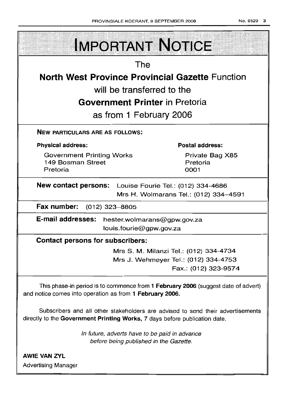| <b>IMPORTANT NOTICE</b>                                                                                                                                       |                                       |  |  |  |
|---------------------------------------------------------------------------------------------------------------------------------------------------------------|---------------------------------------|--|--|--|
| The                                                                                                                                                           |                                       |  |  |  |
| <b>North West Province Provincial Gazette Function</b>                                                                                                        |                                       |  |  |  |
| will be transferred to the                                                                                                                                    |                                       |  |  |  |
| <b>Government Printer</b> in Pretoria                                                                                                                         |                                       |  |  |  |
| as from 1 February 2006                                                                                                                                       |                                       |  |  |  |
| <b>NEW PARTICULARS ARE AS FOLLOWS:</b>                                                                                                                        |                                       |  |  |  |
| <b>Physical address:</b>                                                                                                                                      | <b>Postal address:</b>                |  |  |  |
| <b>Government Printing Works</b><br>149 Bosman Street<br>Pretoria                                                                                             | Private Bag X85<br>Pretoria<br>0001   |  |  |  |
| New contact persons: Louise Fourie Tel.: (012) 334-4686                                                                                                       | Mrs H. Wolmarans Tel.: (012) 334-4591 |  |  |  |
| Fax number: (012) 323-8805                                                                                                                                    |                                       |  |  |  |
| E-mail addresses:<br>hester.wolmarans@gpw.gov.za<br>louis.fourie@gpw.gov.za                                                                                   |                                       |  |  |  |
| <b>Contact persons for subscribers:</b>                                                                                                                       |                                       |  |  |  |
| Mrs S. M. Milanzi Tel.: (012) 334-4734<br>Mrs J. Wehmeyer Tel.: (012) 334-4753<br>Fax.: (012) 323-9574                                                        |                                       |  |  |  |
| This phase-in period is to commence from 1 February 2006 (suggest date of advert)<br>and notice comes into operation as from 1 February 2006.                 |                                       |  |  |  |
| Subscribers and all other stakeholders are advised to send their advertisements<br>directly to the Government Printing Works, 7 days before publication date. |                                       |  |  |  |
| In future, adverts have to be paid in advance<br>before being published in the Gazette.                                                                       |                                       |  |  |  |

**AWIE VAN ZVL** Advertising Manager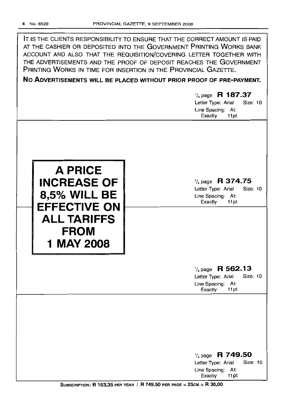IT IS THE CLIENTS RESPONSIBILITY TO ENSURE THAT THE CORRECT AMOUNT IS PAID AT THE CASHIER OR DEPOSITED INTO THE GOVERNMENT PRINTING WORKS BANK ACCOUNT AND ALSO THAT THE REQUISITION/COVERING LETTER TOGETHER WITH THE ADVERTISEMENTS AND THE PROOF OF DEPOSIT REACHES THE GOVERNMENT PRINTING WORKS IN TIME FOR INSERTION IN THE PROVINCIAL GAZETTE.

**No ADVERTISEMENTS WILL BE PLACED WITHOUT PRIOR PROOF OF PRE-PAYMENT.**

# 1/4 page **R 187.37** Letter Type: Arial Size: 10 Line Spacing: At: Exactly 11 pt '/4 page **R 374.75** Letter Type: Arial Size: 10 Line Spacing: At: Exactly 11 pt **A PRICE INCREASE OF 18,5% WILL BE**<br> **EFFECTIVE ON ALL TARIFFS FROM 1** MAY 2008 1/4 page **R 562.13** Letter Type: Arial Size: 10 Line Spacing: At: Exactly 11 pt 1/4page **R 749.50** Letter Type: Arial Line Spacing: At:

SUBSCRIPTION: R 163,35 PER YEAR / R 749,50 PER PAGE =  $25cm = R$  30,00

Exactly 11 pt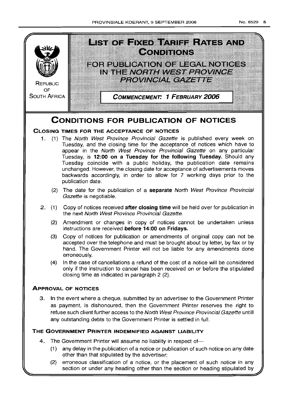

- (1) any delay in the publication of a notice or publication of such notice on any date other than that stipulated by the advertiser;
- (2) erroneous classification of a notice, or the placement of such notice in any section or under any heading other than the section or heading stipulated by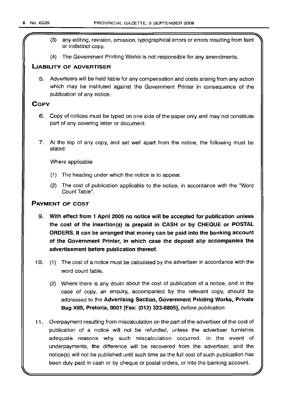- (3) any editing, revision, omission, typographical errors or errors resulting from faint or indistinct copy.
- (4) The Government Printing Works is not responsible for any amendments.

## **LIABILITY OF ADVERTISER**

5. Advertisers will be held liable for any compensation and costs arising from any action which may be instituted against the Government Printer in consequence of the publication of any notice.

## **COpy**

- 6. Copy of notices must be typed on one side of the paper only and may not constitute part of any covering letter or document.
- 7. At the top of any copy, and set well apart from the notice, the following must be stated:

Where applicable

- (1) The heading under which the notice is to appear.
- (2) The cost of publication applicable to the notice, in accordance with the "Word Count Table".

## **PAYMENT OF COST**

- 9. **With effect from 1 April 2005 no notice will be accepted for publication unless the cost of the insertion(s) is prepaid in CASH or by CHEQUE or POSTAL ORDERS. It can be arranged that money can be paid into the banking account of the Government Printer, in which case the deposit slip accompanies the advertisement before publication thereof.**
- 10. (1) The cost of a notice must be calculated by the advertiser in accordance with the word count table.
	- (2) Where there is any doubt about the cost of publication of a notice, and in the case of copy, an enquiry, accompanied by the relevant copy, should be addressed to the **Advertising Section, Government Printing Works, Private Bag X85, Pretoria, 0001 [Fax: (012) 323-8805],** before publication.
- **11.** Overpayment resulting from miscalculation on the part of the advertiser of the cost of publication of a notice will not be refunded, unless the advertiser furnishes adequate reasons why such' miscalculation occurred. In the event of underpayments, the difference will be recovered from the advertiser, and the notice(s) will not be published until such time as the full cost of such publication has been duly paid in cash or by cheque or postal orders, or into the banking account.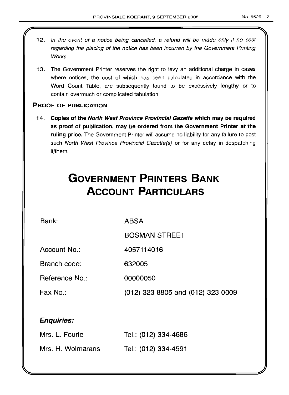- 12. In the event of a notice being cancelled, a refund will be made only if no cost regarding the placing of the notice has been incurred by the Government Printing Works.
- 13. The Government Printer reserves the right to levy an additional charge in cases where notices, the cost of which has been calculated in accordance with the Word Count Table, are subsequently found to be excessively lengthy or to contain overmuch or complicated tabulation.

## PROOF OF PUBLICATION

14. Copies of the North West Province Provincial Gazette which may be required as proof of publication, may be ordered from the Government Printer at the ruling price. The Government Printer will assume no liability for any failure to post such North West Province Provincial Gazette(s) or for any delay in despatching it/them.

## **GOVERNMENT PRINTERS BANK ACCOUNT PARTICULARS**

Bank:

ABSA

BOSMAN STREET

Account No.: 4057114016

Branch code: 632005

Reference No.: 00000050

Fax No.: (012) 323 8805 and (012) 323 0009

## Enquiries:

| Mrs. L. Fourie    | Tel.: (012) 334-4686 |
|-------------------|----------------------|
| Mrs. H. Wolmarans | Tel.: (012) 334-4591 |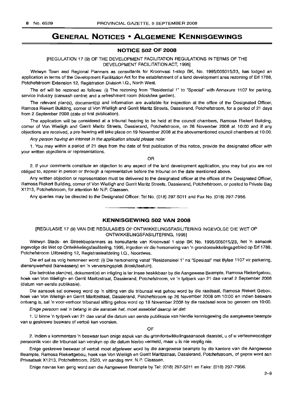## **GENERAL NOTICES • ALGEMENE KENNISGEWINGS**

## **NOTICE 502 OF 2008**

## [REGULATION 17 (9) OF THE DEVELOPMENT FACILITATION REGULATIONS IN TERMS OF THE DEVELOPMENT FACILITATION ACT, 1995]

Welwyn Town and Regional Planners as consultants for Kroonvaal 1-stop BK, No. 1995/005015/23, has lodged an application in terms of the Development Facilitation Act for the establishment of a land development area rezoning of Ert 1788, Potchefstroom Extension 12, Registration Division I.Q., North West.

The ert will be rezoned as follows: (i) The rezoning from "Residential 1" to "Special" with Annexure 1107 for parking, service industry (carwash centre) and a refreshment room (kiosk/tea garden).

The relevant plan(s), document(s) and information are available for inspection at the office of the Designated Officer, Ramosa Riekert Building, corner of Von Wielligh and Gerrit Maritz Streets, Dassierand, Potchefstroom, for a period of 21 days from 2 September 2008 (date of first publication),

The application will be considered at a tribunal hearing to be held at the council chambers, Ramosa Riekert Building, corner of Von Wielligh and Gerrit Maritz Streets, Dassierand, Potchefstroom, on 26 November 2008 at 10:00 and if any objections are received, a pre-hearing will take place on 19 November 2008 at the abovementioned council chambers at 10:00.

Any person having an interest in the application should please note:

1. You may within a period of 21 days from the date of first publication of this notice, provide the designated officer with your written objections or representations.

OR

2. If your comments constitute an objection to any aspect of the land development application, you may but you are not obliged to, appear in person or through a representative before the tribunal on the date mentioned above.

Any written objection or representation must be delivered to the designated officer at the offices of the Designated Officer, Ramosa Riekert Building, corner of Von Wielligh and Gerrit Maritz Streets, Dassierand, Potchefstroom, or posted to Private Bag X1213, Potchefstroom, for attention Mr N.P. Claassen.

Any queries may be directed to the Designated Officer: Tel No. (018) 297-5011 and Fax No. (018) 297-7956. .**-.**

## **KENNISGEWING 502 VAN 2008**

[REGULASIE 17 (9) VAN DIE REGULASIES OP ONTWIKKELlNGSFASILITERING INGEVOLGE DIE WET OP ONTWIKKELlNGSFASILITERING, 1995]

Welwyn Stads- en Streekbeplanners as konsultante van Kroonvaal 1-stop BK No. 1995/005015/23, het 'n aansoek ingevolge die Wet op Ontwikkelingsfasilitering, 1995, ingedien vir die hersonering van 'n grondontwikkelingsgebied op Ert 1788, Potchefstroom Uitbreiding 12, Registrasieafdeling I.Q., Noordwes.

Die ert sal as volg hersoneer word: (i) Die hersonering vanaf "Residensieel 1" na "Spesiaal" met Bylae 1107 vir parkering, diensnywerheid (karwassery) en 'n verversingsplek (kiosk/teetuin).

Die betrokke plan(ne), dokument(e) en inligting is ter insae beskikbaar by die Aangewese Beampte, Ramosa Riekertgebou, hoek van Von Wielligh- en Gerrit Maritzstraat, Dassierand, Potchefstroom, vir 'n tydperk van 21 dae vanaf 2 September 2008 (datum van eerste publikasie).

Die aansoek sal oorweeg word op 'n sitting van die tribunaal wat gehou word by die raadsaal, Ramosa Riekert Gebou, hoek van Von Wielligh en Gerrit Maritzstraat, Dassierand, Potchefstroom op 26 November 2008 om 10:00 en indien besware ontvang is, sal 'n voor-verhoor tribunaal sitting gehou word op 19 November 2008 by die raadsaal soos bo genoem om 10:00.

Enige persoon wat 'n belang in die aansoek het, moet asseblief daarop let dat:

1. U binne 'n tydperk van 21 dae vanaf die datum van eerste publikasie van hierdie kennisgewing die aangewese beampte van u geskrewe besware of vertoë kan voorsien.

OF

2. Indien u kommentare 'n beswaar teen enige aspek van die grondontwikkelingsaansoek daarstel, u of u verteenwoordiger persoonlik voor die tribunaal kan verskyn op die datum hierbo vermeld, maar u is nie verplig nie.

Enige geskrewe beswaar of vertoe moet afgelewer word by die aangewese beampte by die kantore van die Aangewese Beampte, Ramosa Riekertgebou, hoek van Von Wielligh en Gerrit Maritzstraat, Dassierand, Potchefstroom, of gepos word aan Privaatsak X1213, Potchefstroom, 2520, vir aandag mnr. N.P. Claassen.

Enige navrae kan gerig word aan die Aangewese Beampte by Tel: (018) 297-5011 en Faks: (018) 297-7956.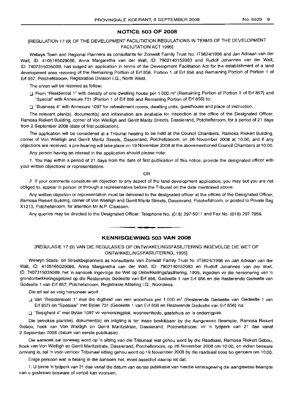## **NOTICE 503 OF 2008**

## IREGULATION 17 (9) OF THE DEVELOPMENT FACILITATION REGULATIONS IN TERMS OF THE DEVELOPMENT FACILITATION ACT 1995]

Welwyn Town and Regional Planners as consultants for Zonwalt Family Trust No. IT8624/1996 and Jan Adriaan van der Walt, 10: 4105165029086, Anna Margaretha van der Walt, 10: 7902140152083 and Rudolf Johannes van der Walt, 10: 7407315035089, has lodged an application in terms of the Development Facilitation Act for the establishment of a land development area rezoning of the Remaining Portion of Erf 856, Portion 1 of Erf 856 and Remaining Portion of Portion 1 of Erf 857, Potchefstroom, Registration Division 1.0., North West.

The erven will be rezoned as follow:

□ From "Residential 1" with density of one dwelling house per 1 000 m<sup>2</sup> (Remaining Portion of Portion 1 of Erf 857) and "Special" with Annexure 731 (Portion 1 of Erf 856 and Remaining Portion of Erf 856) to:

o "Business 4" with Annexure 1097 for refreshment rooms, dwelling units, guesthouse and place of instruction.

The relevant plan(s), document(s) and information are available for inspection at the office of the Designated Officer, Ramosa Riekert Building, corner of Von Wielligh and Gerrit Maritz Streets, Dassierand, Potchefstroom, for a period of 21 days from 2 September 2008 (date of first publication).

The application will be considered at a Tribunal hearing to be held at the Council Chambers, Ramosa Riekert Building, corner of Von Wielligh and Gerrit Maritz Streets, Dassierand, Potchefstroom, on 26 November 2008 at 10:00, and if any objections are received, a pre-hearing will take place on 19 November 2008 at the abovementioned Council Chambers at 10:00.

Any person having an interest in the application should please note:

1. You may within a period of 21 days from the date of first publication of this notice, provide the designated officer with your written objections or representations.

OR

2. If your comments constitute an objection to any aspect of the land development application, you may but you are not obliged to, appear in person or through a representative before the Tribunal on the date mentioned above.

Any written objection or representation must be delivered to the designated officer at the offices of the Designated Officer, Ramosa Riekert Building, corner of Von Wielligh and Gerrit Maritz Streets, Dassierand, Potchefstroom, or posted to Private Bag X1213, Potchefstroom, for attention Mr N.P. Claassen.

Any queries may be directed to the Designated Officer: Telephone No. (018) 297-5011 and Fax No. (018) 297-7956 .

**.-**

## **KENNISGEWING 503 VAN 2008**

[REGULASIE 17 (9) VAN DIE REGULASIES OP ONTWIKKELlNGSFASILITERING INGEVOLGE DIE WET OP ONTWIKKELlNGSFASILITERING, 1995]

Welwyn Stads- en Streekbeplanners as konsultante van Zonwalt Family Trust Nr. IT8624/1996 en Jan Adriaan van der Walt, 10: 4105165029086, Anna Margaretha van der Walt, 10: 7902140152083 en Rudolf Johannes van der Walt, 10: 7407315035089, het 'n aansoek ingevolge die Wet op Ontwikkelingsfasilitering, 1995, ingedien vir die hersonering van 'n grondontwikkelingsgebied op die Resterende Gedeelte van Erf 856, Gedeelte 1 van Erf 856 en die Resterende Gedeelte van Gedeelte 1 van Erf 857, Potchefstroom, Registrasie Afdeling I.Q., Noordwes.

Die erf sal as volg hersoneer word:

Van "Residensieel 1" met die digtheid van een woonhuis per 1 000 m<sup>2</sup> (Resterende Gedeelte van Gedeelte 1 van Erf 857) en "Spesiaal" met Bylae 731 (Gedeelte 1 van Erf 856 en Resterende Gedeelte van Erf 856) na:

o "Besigheid 4" met Bylae 1097 vir verversingplek, wooneenhede, gastehuis en 'n onderrigplek.

Die betrokke plan(ne), dokument(e) en inligting is ter insae beskikbaar by die Aangewese Beampte, Ramosa Riekert Gebou, hoek van Von Wielligh en Gerrit Maritzstrate, Dassierand, Potchefstroom, vir 'n tydperk van 21 dae vanaf 2 September 2008 (datum van eerste publikasie).

Die aansoek sal oorweeg word op 'n sitting van die Tribunaal wat gehou word by die Raadsaal, Ramosa Riekert Gebou, hoek van Von Wielligh en Gerrit Maritzstrate, Dassierand, Potchefstroom, op 26 November 2008 om 10:00, en indien besware ontvang is, sal 'n voor-verhoor Tribunaal sitting gehou word op 19 November 2008 by die raadsaal soos bo genoem om 10:00.

Enige persoon wat 'n belang in die aansoek het, moet asseblief daarop let dat:

1. U binne 'n tydperk van 21 dae vanaf die datum van eerste publikasie van hierdie kennisgewing die aangewese beampte van u geskrewe besware of vertoë kan voorsien.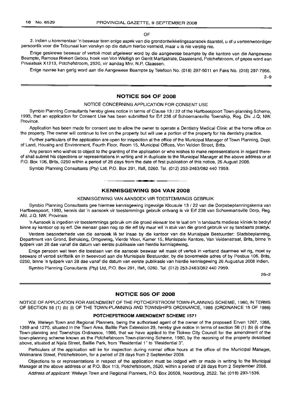OF

2. Indien u kommentaar 'n beswaar teen enige aspek van die grondontwikkelingsaansoek daarstel, u of u verteenwoordiger persoonlik voor die Tribunaal kan verskyn op die datum hierbo vermeld, maar u is nie verplig nie.

Enige geskrewe beswaar of vertoë moet afgelewer word by die aangewese beampte by die kantore van die Aangewese Beampte, Ramosa Riekert Gebou, hoek van Von Wielligh en Gerrit Maritzstrate, Dassierand, Potchefstroom, of gepos word aan Privaatsak X1213, Potchefstroom, 2520, vir aandag Mm. N.P. Claassen.

Enige navrae kan gerig word aan die Aangewese Beampte by Telefoon No. (018) 297-5011 en Faks No. (018) 297-7956.

2-9

## **NOTICE 504 OF 2008**

## NOTICE CONCERNING APPLICATION FOR CONSENT USE

Symbio Planning Consultants hereby gives notice in terms of Clause 13 / 22 of the Hartbeespoort Town-planning Scheme, 1993, that an application for Consent Use has been submitted for Ert 238 of Schoemansville Township, Reg. Div. J.Q; NW. Province.

Application has been made for consent use to allow the owner to operate a Dentistry Medical Clinic at the home office on the property. The owner will continue to live on the property but will use a portion of the property for his dentistry practice.

Further particulars of the application are open for inspection at the office of the Municipal Manager of Town Planning, Dept. of Land, Housing and Environment, Fourth Floor, Room 15, Municipal Offices, Von Velden Street, Brits.

Any person who wishes to object to the granting of the application or who wishes to make representations in regard thereof shall submit his objections or representations in writing and in duplicate to the Municipal Manager at the above address or at P.O. Box 106, Brits, 0250 within a period of 28 days from the date of first publication of this notice, 26 August 2008.

Symbio Planning Consultants (Pty) Ltd, P.O. Box 291, Ifafi, 0260. Tel. (012) 253-2463/082 440 7959.

## **KENNISGEWING 504 VAN 2008**

**- I**

KENNISGEWING VAN AANSOEK VIR TOESTEMMINGS GEBRUIK

Symbio Planning Consultants gee hiermee kennisgewing ingevolge Klousule 13 / 22 van die Dorpsbeplanningskema van Hartbeespoort, 1993, kennis dat 'n aansoek vir toestemmings gebruik ontvang is vir Ert 238 van Schoemansville Dorp, Reg. Afd. J.Q. NW. Provinsie.

'n Aansoek is ingedien vir toestemmings gebruik om die grond eienaar toe te laat om 'n tandaarts mediese kliniek te bedryf binne sy kantoor op sy ert. Die eienaar gaan nog op die ert bly maar wil 'n stuk van die grond gebruik vir sy tandaarts praktyk.

Verdere besonderhede van die aansoek lê ter insae by die kantoor van die Munisipale Bestuurder: Stadsbeplanning, Department van Grond, Behuising, Omgewing, Vierde Vloer, Kamer 15, Munisipale Kantore, Van Veldenstraat, Brits, binne 'n tydperk van 28 dae vanaf die datum van eerste publikasie van hierdie kennisgewing.

Enige persoon wat teen die toestaan van die aansoek beswaar wil maak of vertoë in verband daarmee wil rig, moet sy besware of vertoë skriftelik en in tweevoud aan die Munisipale Bestuurder, by die bovermelde adres of by Posbus 106, Brits, 0250, binne 'n tydperk van 28 dae vanaf die datum van eerste publikasie van hierdie kennisgewing 26 Augustus 2008 indien.

Symbio Planning Consultants (Pty) Ltd, P.O. Box 291, Ifafi, 0260. Tel. (012) 253-2463/082 440 7959.

26-2

## **NOTICE 505 OF 2008**

NOTICE OF APPLICATION FOR AMENDMENT OF THE POTCHEFSTROOM TOWN-PLANNING SCHEME, 1980, IN TERMS OF SECTION 56 (1) (b) (i) OF THE TOWN-PLANNING AND TOWNSHIPS ORDINANCE, 1986 (ORDINANCE 15 OF 1986)

## **POTCHEFSTROOM AMENDMENT SCHEME 1571**

We, Welwyn Town and Regional Planners, being the authorised agent of the owner of the proposed Erven 1267, 1268, 1269 and 1270, situated in the Town Area, Baillie Park Extension 29, hereby give notice in terms of section 56 (1) (b) (i) of the Town-planning and Townships Ordinance, 1986, that we have applied to the Tlokwe City Council for the amendment of the town-planning scheme known as the Potchefstroom Town-planning Scheme, 1980, by the rezoning of the property described above, situated at Njala Street, Baillie Park, from "Residential 1" to "Residential 3".

Particulars of the application will lie for inspection during normal office hours at the office of the Municipal Manager, Wolmarans Street, Potchefstroom, for a period of 28 days from 2 September 2008.

Objections to or representations in respect of the application must be lodged with or made in writing to the Municipal Manager at the above address or at P.O. Box 113, Potchefstroom, 2520, within a period of 28 days from 2 September 2008.

Address of applicant: Welwyn Town and Regional Planners, P.O. Box 20508, Noordbrug, 2522. Tel: (018) 293-1536.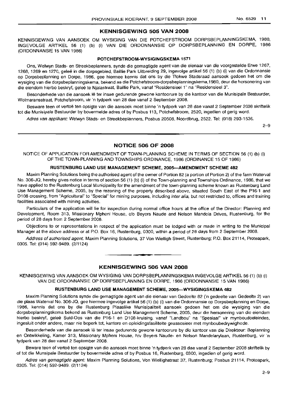## **KENNISGEWING 505 VAN 2008**

KENNISGEWING VAN AANSOEK OM WYSIGING VAN DIE POTCHEFSTROOM DORPSBEPLANNINGSKEMA, 1980, INGEVOLGE ARTIKEL 56 (1) (b) (i) VAN DIE ORDONNANSIE OP DORPSBEPLANNING EN DORPE, 1986 (ORDONNANSIE 15 VAN 1986)

## **POTCHEFSTROOM·WYSIGINGSKEMA** 1571

Ons, Welwyn Stads- en Streekbeplanners, synde die gemagtigde agent van die eienaar van die voorgestelde Erwe 1267, 1268, 1269 en 1270, geleë in die dorpsgebied, Baillie Park Uitbreiding 29, ingevolge artikel 56 (1) (b) (i) van die Ordonnansie op Dorpsbeplanning em Dorpe, 1986, gee hiermee kennis dat ons by die Tlokwe Stadsraad aansoek gedoen het om die wysiging van die dorpsbeplanningskema, bekend as die Potchefstroom-dorpsbeplanningskema, 1980, deur die hersonering van die eiendom hierbo beskryf, geleë te Nialastraat, Baillie Park, vanaf "Residensieel 1" na "Residensieel 3".

Besonderhede van die aansoek lê ter insae gedurende gewone kantoorure by die kantoor van die Munisipale Bestuurder, Wolmaransstraat, Potchefstroom, vir 'n tydperk van 28 dae vanaf 2 September 2008.

Besware teen of vertoe ten opsigte van die aansoek moet binne 'n tydperk van 28 dae vanaf 2 September 2008 skriftelik tot die Munisipale Bestuurder by bovermelde adres of by Posbus 113, Potchefstroom, 2520, ingedien of gerig word.

Adres van applikant: Welwyn Stads- en Streekbeplanners, Posbus 20508, Noordbrug, 2522. Tel: (018) 293-1536.

2-9

## **NOTICE 506 OF 2008**

NOTICE OF APPLICATION FOR AMENDMENT OF TOWN-PLANNING SCHEME IN TERMS OF SECTION 56 (1) (b) (i) OF THE TOWN-PLANNING AND TOWNSHIPS ORDINANCE, 1986 (ORDINANCE 15 OF 1986)

## **RUSTENBURG LAND USE MANAGEMENT SCHEME, 2005-AMENDMENT SCHEME 482**

Maxim Planning Solutions being the authorised agent of the owner of Portion 82 (a portion of Portion 2) of the farm Waterval No. 306-JQ, hereby gives notice in terms of section 56 (1) (b) (i) of the Town-planning and Townships Ordinance, 1986, that we have applied to the Rustenburg Local Municipality for the amendment of the town-planning scheme known as Rustenburg Land Use Management Scheme, 2005, by the rezoning of the property described above, situated South East of the P16-1 and D108 crossing, from "Agricultural" to "Special" for mining purposes, including inter alia, but not restricted to, offices and training facilities associated with mining activities.

Particulars of the application will lie for inspection during normal office hours at the office of the Director: Planning and Development, Room 313, Missionary Mpheni House, c/o Beyers Naude and Nelson Mandela Drives, Rustenburg, for the period of 28 days from 2 September 2008.

Objections to or representations in respect of the application must be lodged with or made in writing to the Municipal Manager at the above address or at P.O. Box 16, Rustenburg, 0300, within a period of 28 days from 2 September 2008.

Address of authorised agent: Maxim Planning Solutions, 37 Von Wielligh Street, Rustenburg; P.O. Box 21114, Proteapark, 0305. Tel: (014) 592-9489. (2/1124)

## **KENNISGEWING 506 VAN 2008**

**•**

KENNISGEWING VAN AANSOEK OM WYSIGING VAN DORPSBEPLANNINGSKEMA INGEVOLGE ARTIKEL 56 (1) (b) (i) VAN DIE ORDONNANSIE OP DORPSBEPLANNING EN DORPE, 1986 (ORDONNANSIE 15 VAN 1986)

## **RUSTENBURG LAND USE MANAGEMENT SCHEME, 2005-WYSIGINGSKEMA 482**

Maxim Planning Solutions synde die gemagtigde agent van die eienaar van Gedeelte 82 ('n gedeelte van Gedeelte 2) van die plaas Waterval No. 306-JQ, gee hiermee ingevolge artikel 56 (1) (b) (i) van die Ordonnansie op Dorpsbeplanning en Dorpe, 1986, kennis dat ons by die Rustenburg Plaaslike Munisipaliteit aansoek gedoen het om die wysiging van die dorpsbeplanningskema bekend as Rustenburg Land Use Management Scheme, 2005, deur die hersonering van die eiendom hierbo beskryf, geleë Suid-Oos van die P16-1 en D108-kruising, vanaf "Landbou" na "Spesiaal" vir mynboudoeleindes, ingesluit onder andere, maar nie beperk tot, kantore en opleidingsfasiliteite geassosieer met mynboubedrywighede.

Besonderhede van die aansoek Ie ter insae gedurende gewone kantoorure by die kantoor van die Direkteur: Beplanning en Ontwikkeling, Kamer 313, Missionary Mpheni House, h/v Beyers Naude- en Nelson Mandelarylaan, Rustenburg, vir 'n tydperk van 28 dae vanaf 2 September 2008,

Beware teen of vertoë ten opsigte van die aansoek moet binne 'n tydperk van 28 dae vanaf 2 September 2008 skriftelik by of tot die Munsipale Bestuurder by bovermelde adres of by Posbus 16, Rustenburg, 0300, ingedien of gerig word.

Adres van gemagtigde agent: Maxim Planning Solutions, Von Wiellighstraat 37, Rustenburg; Posbus 21114, Proteapark, 0305. Tel: (014) 592-9489. (2/1124)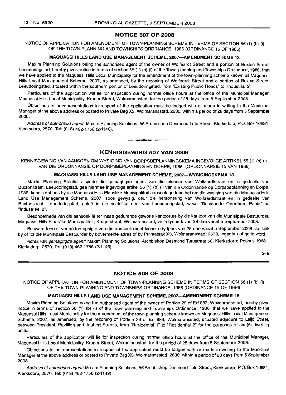## **NOTICE 507 OF 2008**

NOTICE OF APPLICATION FOR AMENDMENT OF TOWN-PLANNING SCHEME IN TERMS OF SECTION 56 (1) (b) (i) OF THE TOWN-PLANNING AND TOWNSHIPS ORDINANCE, 1986 (ORDINANCE 15 OF 1986)

## **MAQUASSI HILLS LAND USE MANAGEMENT SCHEME, 2007-AMENDMENT SCHEME 13**

Maxim Planning Solutions being the authorised agent of the owner of Wolfaardt Street and a portion of Buxton Street, Leeudoringstad, hereby gives notice in terms of section 56 (1) (b) (i) of the Town-planning and Townships Ordinance, 1986, that we have applied to the Maquassi Hills Local Municipality for the amendment of the town-planning scheme known as Maquassi Hills Local Management Scheme, 2007, as amended, by the rezoning of Wolfaardt Street and a portion of Buxton Street, Leeudoringstad, situated within the southern portion of Leeudoringstad, from "Existing Public Roads" to "Industrial 2".

Particulars of the application will lie for inspection during normal office hours at the office of the Municipal Manager, Maquassi Hills Local Municipality, Kruger Street, Wolmaransstad, for the period of 28 days from 5 September 2008.

Objections to or representations in respect of the application must be lodged with or made in writing to the Municipal Manager at the above address or posted to Private Bag X3, Wolmaransstad, 2630, within a period of 28 days from 5 September 2008.

Address of authorised agent: Maxim Planning Solutions, 56 Archbishop Desmond Tutu Street, Klerksdorp; P.O. Box 10681, Klerksdorp, 2570. Tel: (018) 462-1756 (2/1146).

## **KENNISGEWING 507 VAN 2008**

**•**

KENNISGEWING VAN AANSOEK OM WYSIGING VAN DORPSBEPLANNINGSKEMA INGEVOLGE ARTIKEL 56 (1) (b) (i) VAN DIE ORDONNANSIE OP DORPSBEPLANNING EN DORPE, 1986 (ORDONNANSIE 15 VAN 1986)

## **MAQUASSI HILLS LAND USE MANAGEMENT SCHEME, 2007-WYSIGINGSKEMA 13**

Maxim Planning Solutions synde die gemagtigde agent van die eienaar van Wolfaardtstraat en 'n gedeelte van Buxtonstraat, Leeudoringstad, gee hiermee ingevolge artikel 56 (1) (b) (i) van die Ordonnansie op Dorpsbeplanning en Dorpe, 1986, kennis dat ons by die Maquassi Hills Plaaslike Munisipaliteit aansoek gedoen het om die wysiging van die Maquassi Hills Land Use Management Scheme, 2007, soos gewysig, deur die hersonering van Wolfaardtstraat en 'n gedeelte van Buxtonstraat, Leeudoringstad, gelee in die suidelike deel van Leeudoringstad, vanaf "Bestaande Openbare Paaie" na "Industrieel 2".

Besonderhede van die aansoek lê ter insae gedurende gewone kantoorure by die kantoor van die Munisipale Bestuurder, Maquassi Hills Plaaslike Munisipaliteit, Krugerstraat, Wolmaransstad, vir 'n tydperk van 28 dae vanaf 5 September 2008.

Besware teen of vertoë ten opsigte van die aansoek moet binne 'n tydperk van 28 dae vanaf 5 September 2008 skriftelik by of tot die Munisipale Bestuurder by bovermelde adres of by Privaatsak X3, Wolmaransstad, 2630, ingedien of gerig word.

Adres van gemagtigde agent: Maxim Planning Solutions, Archbishop Desmond Tutustraat 56, Klerksdorp; Posbus 10681, Klerksdorp, 2570. Tel: (018) 462-1756 (2/1146).

2-9

## **NOTICE 508 OF 2008**

NOTICE OF APPLICATION FOR AMENDMENT OF TOWN-PLANNING SCHEME IN TERMS OF SECTION 56 (1) (b) (i) OF THE TOWN-PLANNING AND TOWNSHIPS ORDINANCE, 1986 (ORDINANCE 15 OF 1986)

## **MAQUASSI HILLS LAND USE MANAGEMENT SCHEME, 2007-AMENDMENT SCHEME 15**

Maxim Planning Solutions being the authorised agent of the owner of Portion 29 of Erf 883, Wolmaransstad, hereby gives notice in terms of section 56 (1) (b) (i) of the Town-planning and Townships Ordinance, 1986, that we have applied to the Maquassi Hills Local Municipality for the amendment of the town-planning scheme known as Maquassi Hills Local Management Scheme, 2007, as amended, by the rezoning of Portion 29 of Erf 883, Wolmaransstad, situated adjacent to Leijd Street, between President, Pavillion and Joubert Streets, from "Residential 1" to "Residential 2" for the purposes of six (6) dwelling units.

Particulars of the application will lie for inspection during normal office hours at the office of the Municipal Manager, Maquassi Hills Local Municipality, Kruger Street, Wolmaransstad, for the period of 28 days from 5 September 2008.

Objections to or representations in respect of the application must be lodged with or made in writing to the Municipal Manager at the above address or posted to Private Bag X3, Wolmaransstad, 2630, within a period of 28 days from 5 September 2008.

Address of authorised agent: Maxim Planning Solutions, 56 Archbishop Desmond Tutu Street, Klerksdorp; P.O. Box 10681, Klerksdorp, 2570. Tel: (018) 462-1756 (2/1149).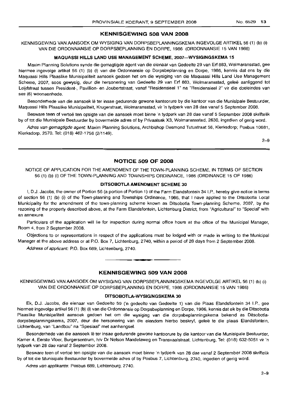## **KENNISGEWING 508 VAN 2008**

KENNISGEWING VAN AANSOEK OM WYSIGING VAN DORPSBEPLANNINGSKEMA INGEVOLGE ARTIKEL 56 (1) (b) (i) VAN DIE ORDONNANSIE OP DORPSBEPLANNING EN DORPE, 1986 (ORDONNANSIE 15 VAN 1986)

## **MAQUASSI HILLS LAND USE MANAGEMENT SCHEME, 2007-WYSIGINGSKEMA 15**

Maxim Planning Solutions synde die gemagtigde agent van die eienaar van Gedeelte 29 van Erf 883, Wolmaransstad, gee hiermee ingevolge artikel 56 (1) (b) (i) van die Ordonnansie op Dorpsbeplanning en Dorpe, 1986, kennis dat ons by die Maquassi Hills Plaasl:ike Munisipaliteit aansoek gedoen het om die wysiging van die Maquassi Hills Land Use Management Scheme, 2007, soos gewysig, deur die hersonering van Gedeelte 29 van Erf 883, Wolmaransstad, gelee aanliggend tot Leijdstraat tussen President-, Pavillion- en Joubertstraat, vanaf "Residensieel 1" na "Residensieel 2" vir die doeleindes van ses (6) wooneenhede.

Besonderhede van die aansoek lê ter insae gedurende gewone kantoorure by die kantoor van die Munisipale Bestuurder, Maquassi Hills Plaaslike Munisipaliteit, Krugerstraat, Wolmaransstad, vir 'n tydperk van 28 dae vanaf 5 September 2008.

Besware teen of vertoë ten opsigte van die aansoek moet binne 'n tydperk van 28 dae vanaf 5 September 2008 skriftelik by of tot die Munisipale Bestuurder by bovermelde adres of by Privaatsak X3, Wolmaransstad, 2630, ingedien of gerig word.

Adres van gemagtigde agent: Maxim Planning Solutions, Archbishop Desmond Tutustraat 56, Klerksdorp; Posbus 10681, Klerksdorp, 2570. Tel: (018) 462-1756 (2/1149).

2-9

## **NOTICE 509 OF 2008**

NOTICE OF APPLICATION FOR THE AMENDMENT OF THE TOWN-PLANNING SCHEME, IN TERMS OF SECTION 56 (1) (b) (i) OF THE TOWN-PLANNING AND TOWNSHIPS ORDINANCE, 1986 (ORDINANCE 15 OF 1986)

## **DITSOBOTLA AMENDMENT SCHEME 30**

I, D.J. Jacobs, the owner of Portion 56 (a portion of Portion 1) of the Farm Elandsfontein 34 I.P., hereby give notice in terms of section 56 (1) (b) (i) of the Town-planning and Townships Ordinance, 1986, that I have applied to the Ditsobotla Local Municipality for the amendment of the town-planning scheme known as Ditsobotla Town-planning Scheme, 2007, by the rezoning of the property described above, at the Farm Elandsfontein, Lichtenburg District, from "Agricultural" to "Special" with an annexure.

Particulars of the application will lie for inspection during normal office hours at the office of the Municipal Manager, Room 4, from 2 September 2008.

Objections to or representations in respect of the applications must be lodged with or made in writing to the Municipal Manager at the above address or at P.O. Box 7, Lichtenburg, 2740, within a period of 28 days from 2 September 2008.

Address of applicant: P.O. Box 689, Lichtenburg, 2740.

## **KENNISGEWING 509 VAN 2008**

**•**

KENNISGEWING VAN AANSOEK OM WYSIGING VAN DORPSBEPLANNINGSKEMA INGEVOLGE ARTIKEL 56 (1) (b) (i) VAN DIE ORDONNANSIE OP DORPSBEPLANNING EN DORPE, 1986 (ORDONNANSIE 15 VAN 1986)

## **DITSOBOTLA-WYSIGINGSKEMA 30**

Ek, D.J. Jacobs, die eienaar van Gedeelte 59 ('n gedeelte van Gedeelte 1) van die Plaas Elandsfontein 34 !.P., gee hiermee ingevolge artikel56 (1) (b) (i) van die Ordonnansie op Dorpsbeplanning en Dorpe, 1986, kennis dat ek by die Ditsobotla Plaaslike Munisipaliteit aansoek gedoen het om die wysiging van die dorpsbeplanningskema bekend as Ditsobotladorpsbeplanningskema, 2007, deur die hersonering van die eiendom hierbo beskryf, gelee te die plaas Elandsfontein, Lichtenburg, van "Landbou" na "Spesiaal" met aanhangsel.

Besonderhede van die aansoek lê ter insae gedurende gewone kantoorure by die kantoor van die Munisipale Bestuurder, Kamer 4, Eerste Vloer, Burgersentrum, h/v Dr Nelson Mandelaweg en Transvaalstraat, Lichtenburg, Tel: (018) 632-5051 vir 'n tydperk van 28 dae vanaf 2 September 2008.

Besware teen of vertoe ten opsigte van die aansoek moet binne 'n tydperk van 28 dae vanaf 2 September 2008 skriftelik by of tot die Munisipale Bestuurder by bovermelde adres of by Posbus 7, Lichtenburg, 2740, ingedien of gerig word.

Adres van applikante: Posbus 689, Lichtenburg, 2740.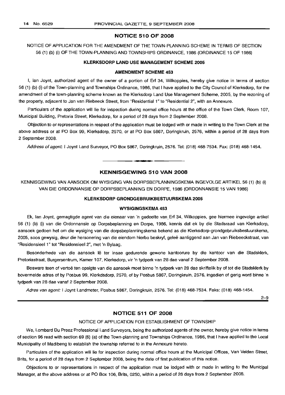## **NOTICE 510 OF 2008**

NOTICE OF APPLICATION FOR THE AMENDMENT OF THE TOWN-PLANNING SCHEME IN TERMS OF SECTION 56 (1) (b) (i) OF THE TOWN-PLANNING AND TOWNSHIPS ORDINANCE, 1986 (ORDINANCE 15 OF 1986)

## **KLERKSDORP LAND USE MANAGEMENT SCHEME 2005**

#### **AMENDMENT SCHEME 453**

I, Ian Joynt, authorized agent of the owner of a portion of Erf 34, Wilkoppies, hereby give notice in terms of section 56 (1) (b) (i) of the Town-planning and Townships Ordinance, 1986, that I have applied to the City Council of Klerksdorp, for the amendment of the town-planning scheme known as the Klerksdorp Land Use Management Scheme, 2005, by the rezoning of the property, adjacent to Jan van Riebeeck Street, from "Residential 1" to "Residential 2", with an Annexure.

Particulars of the application will lie for inspection during normal office hours at the office of the Town Clerk, Room 107, Municipal Building, Pretoria Street, Klerksdorp, for a period of 28 days from 2 September 2008.

Objection to or representations in respect of the application must be lodged with or made in writing to the Town Clerk at the above address or at PO Box 99, Klerksdorp, 2570, or at PO Box 5867, Doringkruin, 2576, within a period of 28 days from 2 September 2008.

Address of agent: I Joynt Land Surveyor, PO Box 5867, Doringkruin, 2576. Tel: (018) 468-7534. Fax: (018) 468-1454.

## **KENNISGEWING 510 VAN 2008**

**•**

KENNISGEWING VAN AANSOEK OM WYSIGING VAN DORPSBEPLANNINGSKEMA INGEVOLGE ARTIKEL 56 (1) (b) (i) VAN DIE ORDONNANSIE OP DORPSBEPLANNING EN DORPE, 1986 (ORDONNANSIE 15 VAN 1986)

## **KLERKSDORP GRONDGEBRUIKBESTUURSKEMA 2005**

## **WYSIGINGSKEMA 453**

Ek, Ian Joynt, gemagtigde agent van die eienaar van 'n gedeelte van. Erf 34, Wilkoppies, gee hiermee ingevolge artikel 56 (1) (b) (i) van die Ordonnansie op Dorpsbeplanning en Dorpe, 1986, kennis dat ek by die Stadsraad van Klerksdorp, aansoek gedoen het om die wysiging van die dorpsbeplanningskema bekend as die Klerksdorp-grondgebruiksbestuurskema, 2005, soos gewysig, deur die hersonering van die eiendom hierbo beskryf, gelee aanliggend aan Jan van Riebeeckstraat, van "ResidensieeI1" tot "ResidensieeI2", met 'n Bylaag.

Besonderhede van die aansoek lê ter insae gedurende gewone kantoorure by die kantoor van die Stadsklerk, Pretoriastraat, Burgersentrum, Kamer 107, Klerksdorp, vir 'n tydperk van 28 dae vanaf 2 September 2008.

Besware teen of vertoe ten opsigte van die aansoek moet binne 'n tydperk van 28 dae skriftelik by of tot die Stadsklerk by bovermelde adres of by Posbus 99, Klerkdsdorp, 2570, of by Posbus 5867, Doringkruin, 2576, ingedien of gerig word binne 'n tydperk van 28 dae vanaf 2 September 2008.

Adres van agent: I Joynt Landmeter, Posbus 5867, Doringkruin, 2576. Tel: (018) 468-7534. Faks: (018) 468-1454.

2-9

## **NOTICE 511 OF 2008**

## NOTICE OF APPLICATION FOR ESTABLISHMENT OF TOWNSHIP

We, Lombard Du Preez Professional Land Surveyors, being the authorized agents of the owner, hereby give notice in terms of section 96 read with section 69 (6) (a) of the Town-planning and Townships Ordinance, 1986, that I have applied to the Local Municipality of Madibeng to establish the township referred to in the Annexure hereto.

Particulars of the application will lie for inspection during normal office hours at the Municipal Offices, Van Velden Street, Brits, for a period of 28 days from 2 September 2008, being the date of first publication of this notice.

Objections to or representations in respect of the application must be lodged with or made in writing to the Municipal Manager, at the above address or at PO Box 106, Brits, 0250, within a period of 28 days from 2 September 2008.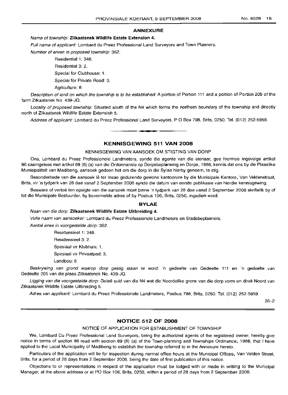## **ANNEXURE**

## Name of township: **Zilkaatsnek Wildlife Estate Extension 4.**

Full name of applicant: Lombard du Preez Professional Land Surveyors and Town Planners.

Number of erven in proposed township: 362.

Residential 1: 348.

Residential 3: 2.

Special for Clubhouse: 1.

Special for Private Road: 3.

Agriculture: 8

Description of land on which the township is to be established: A portion of Portion 111 and a portion of Portion 205 of the farm Zilkaatsnek No. 439-JQ.

Locality of proposed township: Situated south of the N4 which forms the northern boundary of the township and directly north of Zilkaatsnek Wildlife Estate Extension 5.

Address of applicant: Lombard du Preez Professional Land Surveyors, P O Box 798, Brits, 0250. Tel. (012) 252-5959.

**• •**

## **KENNISGEWING 511 VAN 2008**

## KENNISGEWING VAN AANSOEK OM STIGTING VAN DORP

Ons, Lombard du Preez Professionele Landmeters, synde die agente van die eienaar, gee hiermee ingevolge artikel 96 saamgelees met artikel 69 (6) (a) van die Ordonnansie op Dorpsbeplanning en Dorpe, 1986, kennis dat ons by die Plaaslike Munisipaliteit van Madibeng, aansoek gedoen het om die dorp in die Bylae hierby genoem, te stig.

Besonderhede van die aansoek lê ter insae gedurende gewone kantoorure by die Munisipale Kantore, Van Veldenstraat, Brits, vir 'n tydperk van 28 dae vanaf 2 September 2008 synde die datum van eerste publikasie van hierdie kennisgewing.

Besware of vertoë ten opsigte van die aansoek moet binne 'n tydperk van 28 dae vanaf 2 September 2008 skriftelik by of tot die Munisipale Bestuurder, by bovermelde adres of by Posbus 106, Brits, 0250, ingedien word.

## **BYLAE**

Naan van die dorp: **Zilkaatsnek Wildlife Estate Uitbreiding 4.**

Volle naam van aansoeker: Lombard du Preez Professionele Landmeters en Stadsbeplanners.

Aantal erwe in voorgestelde dorp: 362.

Residensieel 1: 348.

Residensieel 3: 2.

Spesiaal vir Klubhuis: 1.

Spesiaal vir Privaatpad: 3.

Landbou: 8

Beskrywing van grond waarop dorp gestig staan te word: 'n gedeelte van Gedeelte 111 en 'n gedeelte van Gedeelte 205 van die plaas Zilkaatsnek No. 439-JQ.

Ligging van die voorgestelde dorp: Geleë suid van die N4 wat die Noordelike grens van die dorp vorm en direk Noord van Zilkaatsnek Wildlife Estate Uitbreiding 5.

Adres van applikant: Lombard du Preez Professionele Landmeters, Posbus 798, Brits, 0250. Tel. (012) 252-5959.

26-2

## **NOTICE 512 OF 2008**

NOTICE OF APPLICATION FOR ESTABLISHMENT OF TOWNSHIP

We, Lombard Du Preez Professional Land Surveyors, being the authorized agents of the registered owner, hereby give notice in terms of section 96 read with section 69 (6) (a) of the Town-planning and Townships Ordinance, 1986, that I have applied to the Local Municipality of Madibeng to establish the township referred to in the Annexure hereto.

Particulars of the application will lie for inspection during normal office hours at the Municipal Offices, Van Velden Street, Brits, for a period of 28 days from 2 September 2008, being the date of first publication of this notice.

Objections to or representations in respect of the application must be lodged with or made in writing to the Municipal Manager, at the above address or at PO Box 106, Brits, 0250, within a period of 28 days from 2 September 2008.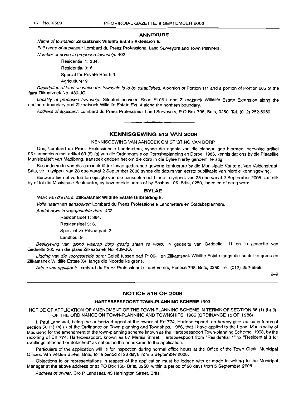## **ANNEXURE**

## Name of township: **Zilkaatsnek Wildlife Estate Extension** 5.

Full name of applicant: Lombard du Preez Professional Land Surveyors and Town Planners.

Number of erven in proposed township: 402.

Residential 1: 384. Residential 3: 6.

Special for Private Road: 3.

Agriculture: 9

Description of land on which the township is to be established: A portion of Portion 111 and a portion of Portion 205 of the farm Zilkaatznek No. 439-JQ.

Locality of proposed township: Situated between Road P106-1 and Zilkaatsnek Willdlife Estate Extension along the southern boundary and Zilkaatsnek Willdlife Estate Ext. 4 along the northern boundary.

Address of applicant: Lombard du Preez Professional Land Surveyors, P O Box 798, Brits, 0250. Tel. (012) 252-5959. .**- .**

## **KENNISGEWING 512 VAN 2008**

## KENNISGEWING VAN AANSOEK OM STIGTING VAN DORP

Ons, Lombard du Preez Professionele Landmeters, synde die agente van die eienaar, gee hiermee ingevolge artikel 96 saamgelees met artikel 69 (6) (a) van die Ordonnansie op Dorpsbeplanning en Dorpe, 1986, kennis dat ons by die Plaaslike Munisipaliteit van Madibeng, aansoek gedoen het om die dorp in die Bylae hierby genoem, te stig.

Besonderhede van die aansoek lê ter insae gedurende gewone kantoorure by die Munisipale Kantore, Van Veldenstraat, Brits, vir 'n tydperk van 28 dae vanaf 2 September 2008 synde die datum van eerste publikasie van hierdie kennisgewing.

Besware teen of vertoe ten opsigte van die aansoek moet binne 'n tydperk van 28 dae vanaf 2 September 2008 skriftelik by of tot die Munisipale Bestuurder, by bovermelde adres of by Posbus 106, Brits, 0250, ingedien of gerig word.

## **BYLAE**

## Naan van die dorp: **Zilkaatsnek Wildlife Estate Uitbreiding** 5.

Volle naam van aansoeker: Lombard du Preez Professionele Landmeters en Stadsbeplanners.

Aantal erwe in voorgestelde dorp: 402.

Residensieel 1: 384.

Residensieel 3: 6.

Spesiaal vir Privaatpad: 3.

Landbou: 9

Beskrywing van grond waarop dorp gestig staan te word: 'n gedeelte van Gedeelte 111 en 'n gedeelte van Gedeelte 205 van die plaas Zilkaatsnek No. 439-JQ.

Ligging van die voorgestelde dorp: Geleë tussen pad P106-1 en Zilkaatsnek Wildlife Estate langs die suidelike grens en Zilkaatsnek Wildlife Estate X4, langs die Noordelike grens.

Adres van applikant: Lombard du Preez Professionele Landmeters, Posbus 798, Brits, 0250. Tel. (012) 252-5959.

2-9

## **NOTICE 516 OF 2008**

## **HARTEBEESPOORT TOWN-PLANNING SCHEME 1993**

NOTICE OF APPLICATION OF AMENDMENT OF THE TOWN-PLANNING SCHEME IN TERMS OF SECTION 56 (1) (b) (i) OF THE ORDINANCE ON TOWN-PLANNING AND TOWNSHIPS, 1986 (ORDINANCE 15 OF 1986)

i, Paul Landsaat, being the authorized agent of the owner of Erf 774, Hartebeespoort, do hereby give notice in terms of section 56 (1) (b) (i) of the Ordinance on Town-planning and Townships, 1986, that I have applied to the Local Municipality of Madibeng for the amendment of the town-planning scheme known as the Hartebeespoort Town-planning Scheme, 1993, by the rezoning of Erf 774, Hartebeespoort, known as 87 Marais Street, Hartebeespoort from "Residential 1" to "Residential 3 for dwellings attached or detached" as set out in the annexures to the application.

Particulars of the application will lie for inspection during normal office hours at the Office of the Town Clerk, Municipal Offices, Van Velden Street, Brits, for a period of 28 days from 5 September 2008.

Objections to or representations in respect of the application must be lodged with or made in writing to the Municipal Manager at the above address or at PO Box 160, Brits, 0250, within a period of 28 days from 5 September 2008.

Address of owner: C/o P Landsaat, 45 Harrington Street, Brits.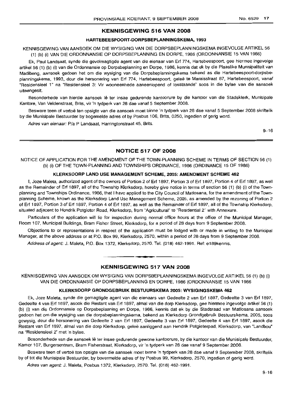## KENNISGEWING 516 VAN 2008

## HARTEBEESPOORT-DORPSBEPLANNINGSKEMA, 1993

KENNISGEWING VAN AANSOEK OM DIE WYSIGING VAN DIE DORPSBEPLANNINGSKEMA INGEVOLGE ARTIKEL 56 (1) (b) (i) VAN DIE ORDONNANSIE OP DORPSBEPLANNING EN DORPE, 1986 (ORDONNANSIE 15 VAN 1986)

Ek, Paul Landsaat, synde die gevolmagtigde agent van die eienaar van Erf 774, Hartebeespoort, gee hiermee ingevolge artikel 56 (1) (b) (i) van die Ordonnansie op Dorpsbeplanning en Dorpe, 1986, kennis dat ek by die Plaaslike Munisipaliteit van Madibeng, aansoek qedoen het om die wysiging van die Dorpsbeplanningskema bekend as die Hartebeespoort-dorpsbeplanningskema, 1993, deur die hersonering van Erf 774, Hartebeespoort, gelee te Maraisstraat 87, Hartebeespoort, vanaf "Residensieel 1" na "Residensieel 3: Vir wooneenhede aaneenlopend of losstaande" soos in die bylae van die aansoek uiteengesit.

Besonderhede van hierdie aansoek lê ter insae gedurende kantoorure by die kantoor van die Stadsklerk, Munisipale Kantore, Van Veldenstraat, Brits, vir 'n tydperk van 28 dae vanaf 5 September 2008.

Besware teen of vertoë ten opsigte van die aansoek moet binne 'n tydperk van 28 dae vanaf 5 September 2008 skriftelik by die Munisipale Bestuurder by bogemelde adres of by Posbus 106, Brits, 0250, ingedien of gerig word.

Adres van eienaar: P/a P Landsaat, Harringtonstraat 45, Brits.

 $9 - 16$ 

## NOTICE 517 OF 2008

NOTICE OF APPLICATION FOR THE AMENDMENT OF THE TOWN-PLANNING SCHEME IN TERMS OF SECTION 56 (1) (b) (i) OF THE TOWN-PLANNING AND TOWNSHIPS ORDINANCE, 1986 (ORDINANCE 15 OF 1986)

## KLERKSDORP LAND USE MANAGEMENT SCHEME, 2005: AMENDMENT SCHEME 462

I, Joze Maleta, authorized agent of the owners of Portion 2 of Erf 1897, Portion 3 of Erf 1897, Portion 4 of Erf 1897, as well as the Remainder of Erf 1897, all of the Township Klerksdorp, hereby give notice in terms of section 56 (1) (b) (i) of the Townplanning and Townships Ordinance, 1986, that I have applied to the City Council of Matlosana, for the amendment of the Townplanning Scheme, known as the Klerksdorp Land Use Management Scheme, 2005, as amended by the rezoning of Portion 2 of Erf 1897, Portion 3 of Erf 1897, Portion 4 of Erf 1897, as well as the Remainder of Erf 1897, all of the Township Klerksdorp, situated adjacent to Hendrik Potgieter Road, Klerksdorp, from "Agricultural" to "Residential 2" with Annexure.

Particulars of the application will lie for inspection during normal office hours at the office of the Municipal Manager, Room 107, Municipal Buildings, Bram Fisher Street, Klerksdorp, for a period of 28 days from 9 September 2008.

Objections to or representations in respect of the application must be lodged with or made in writing to the Municipal Manager, at the above address or at P.O. Box 99, Klerksdorp, 2570, within a period of 28 days from 9 September 2008.

Address of agent: J. Maleta, P.O. Box 1372, Klerksdorp, 2570. Tel. (018) 462-1991. Ref: e189kennis.

## KENNISGEWING 517 VAN 2008

• **• a**

KENNISGEWING VAN AANSOEK OM WYSIGING VAN DORPSBEPLANNINGSKEMA INGEVOLGE ARTIKEL 56 (1) (b) (i) VAN DIE ORDONNANSIE OP DORPSBEPLANNING EN DORPE, 1986 (ORDONNANSIE 15 VAN 1986

## KLERKSDORP GRONDGEBRUIK BESTUURSKEMA 2005: WYSIGINGSKEMA 462

Ek, Joze Maleta, synde die gemagtigde agent van die eienaars van Gedeelte 2 van Erf 1897, Gedeelte 3 van Erf 1897, Gedeelte 4 van Erf 1897, asook die Restant van Erf 1897, almal van die dorp Klerksdorp, gee hiermee ingevolge artikel 56 (1) (b) (i) van die Ordonnansie op Dorpsbeplanning en Dorpe, 1986, kennis dat ek by die Stadsraad van Matlosana aansoek gedoen het om die wysiging van die dorpsbeplanningskema, bekend as Klerksdorp Grondgebruik Bestuurskema, 2005, soos gewysig, deur die hersonering van Gedeelte 2 van Erf 1897, Gedeelte 3 van Erf 1897, Gedeelte 4 van Erf 1897, asook die Restant van Erf 1897, almal van die dorp Klerksdorp, qelee aanliggend aan Hendrik Potgieterpad, Klerksdorp, van "Landbou" na "Residensieel 2" met 'n bylae.

Besonderhede van die aansoek lê ter insae gedurende gewone kantoorure, by die kantoor van die Munisipale Bestuurder, Kamer 107, Burgersentrum, Bram Fisherstraat, Klerksdorp, vir 'n tydperk van 28 dae vanaf 9 September 2008.

Besware teen of vertoe ten opsigte van die aansoek moet binne 'n tydperk van 28 dae vanaf 9 September 2008, skriftelik by of tot die Munisipale Bestuurder, by bovermelde adres of by Posbus 99, Klerksdorp, 2570, ingedien of gerig word.

Adres van agent: J. Maleta, Posbus 1372, Klerksdorp, 2570. Tel. (018) 462-1991.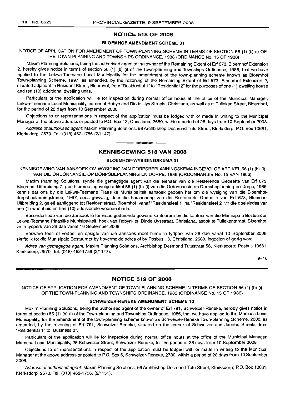## NOTICE 518 OF 2008

## BLOEMHOF AMENDMENT SCHEME 31

NOTICE OF APPLICATION FOR AMENDMENT OF TOWN-PLANNING SCHEME IN TERMS OF SECTION 56 (1) (b) (i) OF THE TOWN-PLANNING AND TOWNSHIPS ORDINANCE, 1986 (ORDINANCE No. 15 OF 1986)

Maxim Planning Solutions, being the authorised agent of the owner of the Remaining Extent of Erf 673, Bloemhof Extension 2, hereby gives notice in terms of section 56 (1) (b) (i) of the Town-planning and Townships Ordinance, 1986, that we have applied to the Lekwa-Teemane Local Municipality for the amendment of the town-planning scheme known as Bloemhof Town-planning Scheme, 1997, as amended, by the rezoning of the Remaining Extent of Erf 673, Bloemhof Extension 2, situated adjacent to Resident Street, Bloemhof, from "Residential 1" to "Residential 2" for the purposes of one (1) dwelling house and ten (10) additional dwelling units.

Particulars of the application will lie for inspection during normal office hours at the office of the Municipal Manager, Lekwa-Teemane Local Municipality, corner of Robyn and Dirkie Uys Streets, Christiana, as well as at Tulleken Street, Bloemhof, for the period of 28 days from 10 September 2008.

Objections to or representations in respect of the application must be lodged with or made in writing to the Municipal Manager at the above address or posted to P.O. Box 13, Christiana, 2680, within a period of 28 days from 10 September 2008.

Address of authorised agent: Maxim Planning Solutions, 56 Archbishop Desmond Tutu Street, Klerksdorp; P.O. Box 10681, Klerksdorp, 2570. Tel: (018) 462-1756 (2/1147).

## KENNISGEWING 518 VAN 2008

**-**

## BLOEMHOF-WYSIGINGSKEMA 31

KENNISGEWING VAN AANSOEK OM WYSIGING VAN DORPSBEPLANNINGSKEMA INGEVOLGE ARTIKEL 56 (1) (b) (i) VAN DIE ORDONNANSIE OP DORPSBEPLANNING EN DORPE, 1986 (ORDONNANSIE No. 15 VAN 1986)

Maxim Planning Solutions, synde die gemagtigde agent van die eienaar van die Resterende Gedeelte van Erf 673, Bloemhof Uitbreiding 2, gee hiermee ingevolge artikel 56 (1) (b) (i) van die Ordonnansie op Dorpsbeplanning en Dorpe, 1986, kennis dat ons by die Lekwa-Teemane Plaaslike Munisipaliteit aansoek gedoen het om die wysiging van die Bloemhofdorpsbeplanningskema, 1997, soos gewysig, deur die hersonering van die Resterende Gedeelte van Erf 673, Bloemhof Uitbreiding 2, geleë aanliggend tot Residentstraat, Bloemhof, vanaf "Residensieel 1" na "Residensieel 2" vir die doeleindes van een (1) woonhuis en tien (10) addisionele wooneenhede.

Besonderhede van die aansoek Ie ter insae gedurende gewone kantoorure by die kantoor van die Munisipale Bestuurder, Lekwa-Teemane Plaaslike Munisipaliteit, hoek van Robyn- en Dirkie Uysstraat, Christiana, asook te Tullekenstraat, Bloemhof, vir 'n tydperk van 28 dae vanaf 10 September 2008.

Besware teen of vertoe ten opsigte van die aansoek moet binne 'n tydperk van 28 dae vanaf 10 September 2008, skriftelik tot die Munisipale Bestuurder by bovermelde adres of by Posbus 13, Christiana, 2680, ingedien of gerig word.

Adres van gemagtigde agent: Maxim Planning Solutions, Archbishop Desmond Tutustraat 56, Klerksdorp; Posbus 10681, Klerksdorp, 2570. Tel: (018) 462-1756 (2/1147).

9-16

## NOTICE 519 OF 2008

NOTICE OF APPLICATION FOR AMENDMENT OF TOWN-PLANNING SCHEME IN TERMS OF SECTION 56 (1) (b) (i) OF THE TOWN-PLANNING AND TOWNSHIPS ORDINANCE, 1986 (ORDINANCE No. 15 OF 1986)

## SCHWEIZER-RENEKE AMENDMENT SCHEME 10

Maxim Planning Solutions, being the authorised agent of the owner of Erf 791, Schweizer-Reneke, hereby gives notice in terms of section 56 (1) (b) (i) of the Town-planning and Townships Ordinance, 1986, that we have applied to the Mamusa Local Municipality, for the amendment of the town-planning scheme known as Schweizer-Reneke Town-planning Scheme, 2000, as amended, by the rezoning of Erf 791, Schweizer-Reneke, situated on the corner of Schweizer and Jacobs Streets, from "Residential 1" to "Business 2".

Particulars of the application will lie for inspection during normal office hours at the office of the Municipal Manager, Mamusa Local Municipality, 28 Schweizer Street, Schweizer-Reneke, for the period of 28 days from 10 September 2008.

Objections to or representations in respect of the application must be lodged with or made in writing to the Municipal Manager at the above address or posted to P.O. Box 5, Schweizer-Reneke, 2780, within a period of 28 days from 10 September 2008.

Address of authorised agent: Maxim Planning Solutions, 56 Archbishop Desmond Tutu Street, Klerksdorp; P.O. Box 10681, Klerksdorp, 2570. Tel: (018) 462-1756. (2/1151).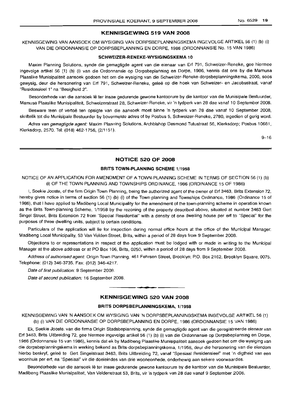## **KENNISGEWING 519 VAN 2008**

KENNISGEWING VAN AANSOEK OM WYSIGING VAN DORPSBEPLANNINGSKEMA INGEVOLGE ARTIKEL 56 (1) (b) (i) VAN DIE ORDONNANSIE OP DORPSBEPLANNING EN DORPE, 1986 (ORDONNANSIE No. 15 VAN 1986)

## **SCHWEIZER-RENEKE-WYSIGINGSKEMA 10**

Maxim Planning Solutions, synde die gemagtigde agent van die eienaar van Erf 791, Schweizer-Reneke, gee hiermee ingevolge artikel 56 (1) (b) (i) van die Ordonnansie op Dorpsbeplanning en Dorpe, 1986, kennis dat ons by die Mamusa Plaaslike Munisipaliteit aansoek gedoen het om die wysiging van die Schweizer-Reneke-dorpsbeplanningskema, 2000, soos gewysig, deur die hersonering van Erf 791, Schweizer-Reneke, gelee op die hoek van Schweizer- en Jacobsstraat, vanaf "Residensieel 1" na "Besigheid 2".

Besonderhede van die aansoek lê ter insae gedurende gewone kantoorure by die kantoor van die Munisipale Bestuurder, Mamusa Plaaslike Munisipaliteit, Schweizerstraat 28, Schweizer-Reneke, vir 'n tydperk van 28 dae vanaf 10 September 2008.

Besware teen of vertoe ten opsigte van die aansoek moet binne 'n tydperk van 28 dae vanaf 10 September 2008, skriftelik tot die Munisipale Bestuurder by bovermelde adres of by Posbus 5, Schweizer-Reneke, 2780, ingedien of gerig word.

Adres van gemagtigde agent: Maxim Planning Solutions, Archbishop Desmond Tutustraat 56, Klerksdorp; Posbus 10681, Klerksdorp, 2570. Tel: (018) 462-1756, (2/1151).

 $9 - 16$ 

## **NOTICE 520 OF 2008**

## **BRITS TOWN-PLANNING SCHEME** 1/1958

NOTICE OF AN APPLICATION FOR AMENDMENT OF A TOWN-PLANNING SCHEME IN TERMS OF SECTION 56 (1) (b) (i) OF THE TOWN-PLANNING AND TOWNSHIPS ORDINANCE, 1986 (ORDINANCE 15 OF 1986)

I, Soekie Jooste, of the firm Origin Town Planning, being the authorized agent of the owner of Erf 3463, Brits Extension 72, hereby gives notice in terms of section 56 (1) (b) (i) of the Town-planning and Townships Ordinance, 1986 (Ordinance 15 of 1986), that I have applied to Madibeng Local Municipality for the amendment of the town-planning scheme in operation known as the Brits Town-planning Scheme, 1/1958 by the rezoning of the property described above, situated at number 3463 Gert Singel Street, Brits Extension 72 from "Special Residential" with a density of one dwelling house per erf to "Special" for the purposes of three dwelling units, subject to certain conditions.

Particulars of the application will lie for inspection during normal office hours at the office of the Municipal Manager: Madibeng Local Municipality, 53 Van Velden Street, Brits, within a period of 28 days from 9 September 2008.

Objections to or representations in respect of the application must be lodged with or made in writing to the Municipal Manager at the above address or at PO Box 106, Brits, 0250, within a period of 28 days from 9 September 2008.

Address of authorised agent: Origin Town Planning, 461 Fehrsen Street, Brooklyn: P.O. Box 2162, Brooklyn Square, 0075. Telephone: (012) 346-3735. Fax: (012) 346-4217.

Date of first publication: 9 September 2008.

Date of second publication: 16 September 2008.

## **- KENNISGEWING <sup>520</sup> VAN <sup>2008</sup>**

## **BRITS DORPSBEPLANNINGSKEMA,** 1/1958

KENNISGEWING VAN 'N AANSOEK OM WYSIGING VAN 'N DORPSBEPLANNINGSKEMA INGEVOLGE ARTIKEL 56 (1) (b) (i) VAN DIE ORDONNANSIE OP DORPSBEPLANNING EN DORPE, 1986 (ORDONNANSIE 15 VAN 1986)

Ek, Soekie Jooste, van die firma Origin Stadsbeplanning, synde die gemagtigde agent van die geregistreerde eienaar van Erf 3463, Brits Uitbreiding 72, gee hiermee ingevolge artikel 56 (1) (b) (i) van die Ordonnansie op Dorpsbeplanning en Darpe, 1986 (Ordonnansie 15 van 1986), kennis dat ek by Madibeng Plaaslike Munisipaliteit aansoek gedoen het om die wysiging van die dorpsbeplanningskema in werking bekend as Brits-dorpsbeplanningskema, 1/1958, deur die hersonering van die eiendom hierbo beskryf, geleë te Gert Singelstraat 3463, Brits Uitbreiding 72, vanaf "Spesiaal Residensieel" met 'n digtheid van een woonhuis per erf, na "Spesiaal" vir die doeleindes van drie wooneenhede, onderhewig aan sekere voorwaardes.

Besonderhede van die aansoek lê ter insae gedurende gewone kantoorure by die kantoor van die Munisipale Bestuurder, Madibeng Plaaslike Munisipaliteit, Van Veldenstraat 53, Brits, vir 'n tydperk van 28 dae vanaf 9 September 2008.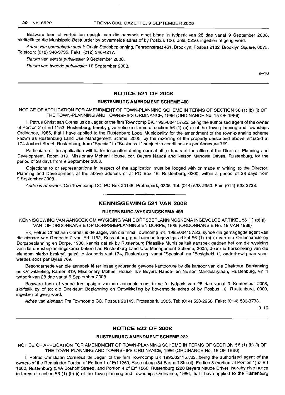Besware teen of vertoë ten opsigte van die aansoek moet binne 'n tydperk van 28 dae vanaf 9 September 2008, skriftelik tot die Munisipale Bestuurder by bovermelde adres of by Posbus 106, Brits, 0250, ingedien of gerig word.

Adres van gemagtigde agent: Origin Stadsbeplanning, Fehrsenstraat 461, Brooklyn; Posbus 2162, Brooklyn Square, 0075. Telefoon: (012) 346-3735. Faks: (012) 346-4217.

Datum van eerste publikasie: 9 September 2008.

Datum van tweede publikasie: 16 September 2008.

9-16

## NOTICE 521 OF 2008

## RUSTENBURG AMENDMENT SCHEME 488

NOTICE OF APPLICATION FOR AMENDMENT OF TOWN-PLANNING SCHEME IN TERMS OF SECTION 56 (1) (b) (i) OF THE TOWN-PLANNING AND TOWNSHIPS ORDINANCE, 1986 (ORDINANCE No. 15 OF 1986)

I, Petrus Christiaan Cornelius de Jager, of the firm Towncomp BK, 1995/024157/23, being the authorised agent of the owner of Portion 2 of Erf 1152, Rustenburg, hereby give notice in terms of section 56 (1) (b) (i) of the Town-planning and Townships Ordinance, 1986, that I have applied to the Rustenburg Local Municipality for the amendment of the town-planning scheme known as Rustenburg Land Use Management Schme, 2005, by the rezoning of the property derscribed above, situated at 174 Joubert Street, Rustenburg, from "Special" to "Business 1" subject to conditions as per Annexure 769.

Particulars of the application will lie for inspection during normal office hours at the office of the Director: Planning and Development, Room 319, Missionary Mpheni House, cor. Beyers Naude and Nelson Mandela Drives, Rustenburg, for the period of 28 days from 9 September 2008.

Objections to or representations in respect of the application must be lodged with or made in writing to the Director: Planning and Development, at the above address or at PO Box 16, Rustenburg, 0300, within a period of 28 days from 9 September 2008.

Address of owner: C/o Towncomp CC, PO Box 20145, Proteapark, 0305. Tel. (014) 533-2950. Fax: (014) 533-3733.

## **-** KENNISGEWING <sup>521</sup> VAN <sup>2008</sup>

## RUSTENBURG-WYSIGINGSKEMA 488

KENNISGEWING VAN AANSOEK OM WYSIGING VAN DORPSBEPLANNINGSKEMA INGEVOLGE ARTIKEL 56 (1) (b) (i) VAN DIE ORDONNANSIE OP DORPSBEPLANNING EN DORPE, 1986 (ORDONNANSIE No. 15 VAN 1986)

Ek, Petrus Christiaan Cornelius de Jager, van die firma Towncomp BK, 1995/024157/23, synde die gemagtigde agent van die eienaar van Gedeelte 2 van Erf 1152, Rustenburg, gee hiermee ingevolge artikel 56 (1) (b) (i) van die Ordonnansie op Dorpsbeplanning en Dorpe, 1986, kennis dat ek by Rustenburg Plaaslike Munisipaliteit aansoek gedoen het om die wysiging van die dorpsbeplanningskema bekend as Rustenburg Land Use Management Scheme, 2005, deur die hersonering van die eiendom hierbo beskryf, gelee te Joubertstraat 174, Rustenburg, vanaf "Spesiaal" na "Besigheid 1", onderhewig aan voorwardes soos per Bylae 769.

Besonderhede van die aansoek lê ter insae gedurende gewone kantoorure by die kantoor van die Direkteur: Beplanning en Ontwikkeling, Kamer 319, Missionary Mpheni House, h/v Beyers Naude- en Nelson Mandelarylaan, Rustenburg, vir 'n tydperk van 28 dae vanaf 9 September 2008.

Besware teen of vertoë ten opsigte van die aansoek moet binne 'n tydperk van 28 dae vanaf 9 September 2008, skriftelik by of tot die Direkteur: Beplanning en Ontwikkeling by bovermelde adres of by Posbus 16, Rustenburg, 0300, ingedien of gerig word.

Adres van eienaar: P/a Towncomp CC, Posbus 20145, Proteapark, 0305. Tel: (014) 533-2950. Faks: (014) 533-3733.

9-16

## NOTICE 522 OF 2008

## RUSTENBURG AMENDMENT SCHEME 222

NOTICE OF APPLICATION FOR AMENDMENT OF TOWN-PLANNING SCHEME IN TERMS OF SECTION 56 (1) (b) (i) OF THE TOWN-PLANNING AND TOWNSHIPS ORDINANCE, 1986 (ORDINANCE No. 15 OF 1986)

I, Petrus Christiaan Cornelius de Jager, of the firm Towncomp BK 1995/024157/23, being the authorised agent of the owners of the Remainder Portion of Portion 1 of Erf 1260, Rustenburg (54 Boshoff Street), Portion 3 (portion of Portion 1) of Erf 1260, Rustenburg (54A Boshoff Street), and Portion 4 of Erf 1260, Rustenburg (220 Beyers Naude Drive), hereby give notice in terms of section 56 (1) (b) (i) of the Town-planning and Townships Ordinance, 1986, that I have applied to the Rustenburg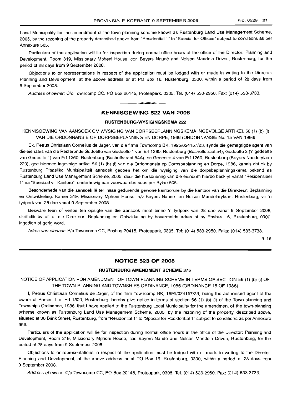Local Municipality for the amendment of the town-planning scheme known as Rustenburg Land Use Management Scheme, 2005, by the rezoninq of the property derscribed above from "Residential 1" to "Special for Offices" subject to conditions as per Annexure 505.

Particulars of the application will lie for inspection during normal office hours at the office of the Director: Planning and Development, Room 319, Missionary Mpheni House, cor. Beyers Naudé and Nelson Mandela Drives, Rustenburg, for the period of 28 days from 9 September 2008.

Objections to or representations in respect of the application must be lodged with or made in writing to the Director: Planning and Development, at the above address or at PO Box 16, Rustenburg, 0300, within a period of 28 days from 9 September 2008.

Address of owner: C/o Towncomp CC, PO Box 20145, Proteapark, 0305. Tel. (014) 533-2950. Fax: (014) 533-3733.

## **- KENNISGEWING <sup>522</sup> VAN <sup>2008</sup>**

## **RUSTENBURG-WYSIGINGSKEMA** 222

KENNISGEWING VAN AANSOEK OM WYSIGING VAN DORPSBEPLANNINGSKEMA INGEVOLGE ARTIKEL 56 (1) (b) (i) VAN DIE ORDONNANSIE OP DORPSBEPLANNING EN DORPE, 1986 (ORDONNANSIE No. 15 VAN 1986)

Ek, Petrus Christiaan Cornelius de Jager, van die firma Towncomp BK, 1995/024157/23, synde die gemagtigde agent van die eienaars van die Resterende Gedeelte van Gedeelte 1 van Erf 1260, Rustenburg (Boshoffstraat 54), Gedeelte 3 ('n gedeelte van Gedeelte 1) van Erf 1260, Rustenburg (Boshoffstraat 54A), en Gedeelte 4 van Erf 1260, Rustenburg (Beyers Nauderylaan 220), gee hiermee ingevolge artikel 56 (1) (b) (i) van die Ordonnansie op Dorpsbeplanning en Dorpe, 1986, kennis dat ek by Rustenburg Plaaslike Munisipaliteit aansoek gedoen het om die wysiging van die dorpsbeplanningskema bekend as Rustenburg Land Use Management Scheme, 2005, deur die hersonering van die eiendom hierbo beskryf vanaf "Residensieel 1" na "Spesiaal vir Kantore", onderhewig aan voorwaardes soos per Bylae 505.

Besonderhede van die aansoek lê ter insae gedurende gewone kantoorure by die kantoor van die Direkteur: Beplanning en Ontwikkeling, Karner 319, Missionary Mpheni House, h/v Beyers Naude- en Nelson Mandelarylaan, Rustenburg, vir 'n tydperk van 28 dae vanaf 9 September 2008.

Besware teen of vertoë ten opsigte van die aansoek moet binne 'n tydperk van 28 dae vanaf 9 September 2008, skriftelik by of tot die Direkteur: Beplanning en Ontwikkeling by bovermelde adres of by Posbus 16, Rustenburg, 0300, ingedien of gerig word.

Adres van eienaar: Pia Towncomp CC, Posbus 20415, Proteapark, 0305. Tel: (014) 533-2950. Faks: (014) 533-3733.

 $9 - 16$ 

## **NOTICE 523 OF 2008**

#### **RUSTENBURG AMENDMENT SCHEME** 375

NOTICE OF APPLICATION FOR AMENDMENT OF TOWN-PLANNING SCHEME IN TERMS OF SECTION 56 (1) (b) (i) OF THE TOWN-PLANNING AND TOWNSHIPS ORDINANCE, 1986 (ORDINANCE 15 OF 1986)

I, Petrus Christiaan Cornelius de Jager, of the firm Towncomp BK, 1995/024157/23, being the authorised agent of the owner of Portion 1 of Erf 1300, Rustenburg, hereby give notice in terms of section 56 (1) (b) (i) of the Town-planning and Townships Ordinance, 1986, that I have applied to the Rustenburg Local Municipality for the amendment of the town-planning scheme known as Rustenburg Land Use Management Scheme, 2005, by the rezoning of the property described above, situated at 30 Brink Street, Rustenburg, from "Residential 1" to "Special for Residential 1" subject to conditions as per Annexure 658.

Particulars of the application will lie for inspection during normal office hours at the office of the Director: Planning and Development, Room 319, Missionary Mpheni House, cor. Beyers Naude and Nelson Mandela Drives, Rustenburg, for the period of 28 days from 9 September 2008.

Objections to or representations in respect of the application must be lodged with or made in writing to the Director: Planning and Development, at the above address or at PO Box 16, Rustenburg, 0300, within a period of 28 days from 9 September 2008.

Address of owner: C/o Towncomp CC, PO Box 20145, Proteapark, 0305. Tel. (014) 533-2950. Fax: (014) 533-3733.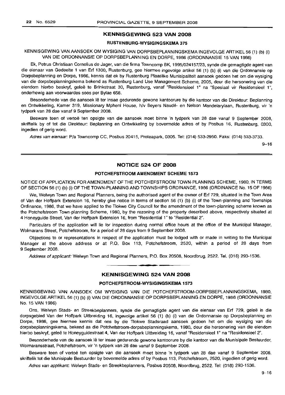## **KENNISGEWING 523 VAN 2008**

## **RUSTENBURG-WYSIGINGSKEMA** 375

KENNISGEWING VAN AANSOEK OM WYSIGING VAN DORPSBEPLANNINGSKEMA INGEVOLGE ARTIKEL 56 (1) (b) (i) VAN DIE ORDONNANSIE OP DORPSBEPLANNING EN DORPE, 1986 (ORDONNANSIE 15 VAN 1986)

Ek, Petrus Christiaan Cornelius de Jager, van die firma Towncomp BK, 1995/024157/23, synde die gemagtigde agent van die eienaar van Gedeelte 1 van Erf 1300, Rustenburg, gee hiermee ingevolge artikel 56 (1) (b) (i) van die Ordonnansie op Dorpsbeplanning en Dorpe, 1986, kennis dat ek by Rustenburg Plaaslike Munisipaliteit aansoek gedoen het om die wysiging van die dorpsbeplanningskema bekend as Rustenburg Land Use Management Scheme, 2005, deur die hersonering van die eiendom hierbo beskryf, geleë te Brinkstraat 30, Rustenburg, vanaf "Residensieel 1" na "Spesiaal vir Residensieel 1", onderhewig aan voorwaardes soos per Bylae 658.

Besonderhede van die aansoek Ie ter insae gedurende gewone kantoorure by die kantoor van die Direkteur: Beplanning en Ontwikkeling, Kamer 319, Missionary Mpheni House, h/v Beyers Naude- en Nelson Mandelarylaan, Rustenburg, vir 'n tydperk van 28 dae vanaf 9 September 2008.

Besware teen of vertoë ten opsigte van die aansoek moet binne 'n tydperk van 28 dae vanaf 9 September 2008, skriftelik by of tot die Direkteur: Beplanning en Ontwikkeling by bovermelde adres of by Posbus 16, Rustenburg, 0300, ingedien of gerig word.

Adres van eienaar: Pia Towncomp CC, Posbus 20415, Proteapark, 0305. Tel: (014) 533-2950. Faks: (014) 533-3733.

9-16

## **NOTICE 524 OF 2008**

## **POTCHEFSTROOM AMENDMENT SCHEME** 1573

NOTICE OF APPLICATION FOR AMENDMENT OF THE POTCHEFSTROOM TOWN-PLANNING SCHEME, 1980, IN TERMS OF SECTION 56 (1) (b) (i) OF THE TOWN-PLANNING AND TOWNSHIPS ORDINANCE, 1986 (ORDINANCE No. 15 OF 1986)

We, Welwyn Town and Regional Planners, being the authorised agent of the owner of Erf 729, situated in the Town Area of Van der Hoffpark Extension 16, hereby give notice in terms of section 56 (1) (b) (i) of the Town-planning and Townships Ordinance, 1986, that we have applied to the Tlokwe City Council for the amendment of the town-planning scheme known as the Potchefstroom Town-planning Scheme, 1980, by the rezoning of the property described above, respectively situated at 4 Honeyguide Street, Van der Hoffpark Extension 16, from "Residential 1" to "Residential 2".

Particulars of the application will lie for inspection during normal office hours at the office of the Municipal Manager, Wolmarans Street, Potchefstroom, for a period of 28 days from 9 September 2008.

Objections to or representations in respect of the application must be lodged with or made in writing to the Municipal Manager at the above address or at P.O. Box 113, Potchefstroom, 2520, within a period of 28 days from 9 September 2008.

Address of applicant: Welwyn Town and Regional Planners, P.O. Box 20508, Noordbrug, 2522. Tel. (018) 293-1536.

## **KENNISGEWING 524 VAN 2008**

**-**

#### **POTCHEFSTROOM-WYSIGINGSKEMA** 1573

KENNISGEWING VAN AANSOEK OM WYSIGING VAN DIE POTCHEFSTROOM-DORPSBEPLANNINGSKEMA, 1980, INGEVOLGE ARTIKEL 56 (1) (b) (i) VAN DIE ORDONNANSIE OP DORPSBEPLANNING EN DORPE, 1986 (ORDONNANSIE No. 15 VAN 1986)

Ons, Welwyn Stads- en Streekbeplanners, synde die gemagtigde agent van die eienaar van Erf 729, gelee in die dorpsgebied Van der Hoffpark Uitbreiding 16, ingevolge artikel 56 (1) (b) (i) van die Ordonnansie op Dorpsbeplanning en Dorpe, 1986, gee hiermee kennis dat ons by die Tlokwe Stadsraad aansoek gedoen het om die wysiging van die dorpsbeplanningskema, bekend as die Potchefstroom-dorpsbeplanningskema, 1980, deur die hersonering van die eiendom hierbo beskryf, geleë te Honeyguidestraat 4, Van der Hoffpark Uitbreiding 16, vanaf "Residensieel 1" na "Residensieel 2".

Besonderhede van die aansoek lê ter insae gedurende gewone kantoorure by die kantoor van die Munisipale Bestuurder, Wolmaransstraat, Potchefstroom, vir 'n tydperk van 28 dae vanaf 9 September 2008.

Besware teen of vertoe ten opsigte van die aansoek moet binne 'n tydperk van 28 dae vanaf 9 September 2008, skriftelik tot die Munisipale Bestuurder by bovermelde adres of by Posbus 113, Potchefstroom, 2520, ingedien of gerig word.

Adres van applikant: Welwyn Stads- en Streekbeplanners, Posbus 20508, Noordbrug, 2522. Tel: (018) 293-1536.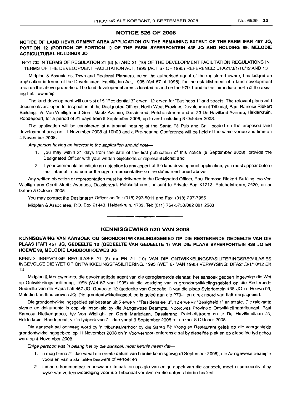## NOTICE 526 OF 2008

## NOTICE OF LAND DEVELOPMENT AREA APPLICATION ON THE REMAINING EXTENT OF THE FARM IFAFI 457 JQ, PORTION 12 (PORTION OF PORTION 1) OF THE FARM SYFERFONTEIN 438 JQ AND HOLDING 99, MELODIE AGRICULTURAL HOLDINGS JQ

NOTICE IN TERMS OF REGULATION 21 (8) (c) AND 21 (10) OF THE DEVELOPMENT FACILITATION REGULATIONS IN TERMS OF THE DEVELOPMENT FACILITATION ACT, 1995 (ACT 67 OF 1995) REFERENCE: DFA21/3/1/10/12 AND 13

Midplan & Associates, Town and Regional Planners, being the authorised agent of the registered owner, has lodged an application in terms of the Development Facilitation Act, 1995 (Act 67 of 1995), for the establishment of a land development area on the above properties. The land development area is located to and on the P79-1 and to the immediate north of the existing Ifafi Township.

The land development will consist of 5 "Residential 3" erven, 12 erven for "Business 1" and streets. The relevant plans and documents are open for inspection at the Designated Officer, North-West Province Development Tribunal, Paul Ramosa Riekert Building, c/o Von Wielligh and Gerrit Maritz Avenue, Dassierand, Potchefstroom and at 23 De Havilland Avenue, Helderkruin, Roodepoort, for a period of 21 days from 9 September 2008, up to and including 8 October 2008.

The application will be considered at a tribunal hearing at the Santa Fé Pub and Grill located on the proposed land development area on 11 November 2008 at 10hOO and a Pre-hearing Conference will be held at the same venue and time on 4 November 2008.

Any person having an interest in the application should note-

- 1. you may within 21 days from the date of the first publication of this notice (9 September 2008), provide the Designated Officer with your written objections or representations; and
- 2. if your comments constitute an objection to any aspect of the land development application, you must appear before the Tribunal in person or through a representative on the dates mentioned above.

Any written objection or representation must be delivered to the Designated Officer, Paul Ramosa Riekert Building, c/o Von Wielligh and Gerrit Maritz Avenues, Dassierand, Potchefstroom, or sent to Private Bag X1213, Potchefstroom, 2520, on or before 8 October 2008.

You may contact the Designated Officer on Tel: (018) 297-5011 and Fax: (018) 297-7956.

Midplan & Associates, P.O. Box 21443, Helderkruin, 1733. Tel: (011) 764-5753/082 881 2563. **-.**

## KENNISGEWING 526 VAN 2008

## KENNISGEWING VAN AANSOEK OM GRONDONTWIKKELINGSGEBIED OP DIE RESTERENDE GEDEELTE VAN DIE PLAAS IFAFI 457 JQ, GEDEELTE 12 (GEDEELTE VAN GEDEELTE 1) VAN DIE PLAAS SYFERFONTEIN 438 JQ EN HOEWE 99, MELODIE LANDBOUHOEWES JQ

KENNIS INGEVOLGE REGULASIE 21 (8) (c) EN 21 (10) VAN DIE ONTWIKKELlNGSFASILITERINGSREGULASIES INGEVOLGE DIE WET OP ONTWIKKELlNGSFASILITERING, 1995 (WET 67 VAN 1995) VERWYSING: DFA21/3/1/10/12 EN 13

Midplan & Medewerkers, die gevolmagtigde agent van die geregistreerde eienaar, het aansoek gedoen ingevolge die Wet op Ontwikkelingsfasilitering, 1995 (Wet 67 van 1995) vir die vestiging van 'n grondontwikkelingsgebied op die Resterende Gedeelte van die Plaas Ifafi 457 JQ, Gedeelte 12 (gedeelte van Gedeelte 1) van die plaas Syferfontein 438 JQ en Hoewe 99, Melodie Landbouhoewes JQ. Die grondontwikkelingsgebied is gelee aan die P79-1 en direk noord van Ifafi-dorpsgebied.

Die grondontwikkelingsgebied sal bestaan uit 5 erwe vir "Residensieel 3", 12 erwe vir "Besigheid 1" en strate. Die relevante planne en dokurnente is oop vir inspeksie by die Aangewese Beampte, Noordwes Provinsie Ontwikkelingstribunaal, Paul Ramosa Rietkertgebou, *h/v* Von Wielligh- en Gerrit Maritzlaan, Dassierand, Potchefstroom en te De Havillandlaan 23, Helderkruin, Roodepoort, vir 'n tydperk van 21 dae vanaf 9 September 2008 *tot* en met 8 Oktober 2008.

Die aansoek sal oorweeg word by 'n tribunaalverhoor by die Santa Fé Kroeg en Restaurant geleë op die voorgestelde grondontwikkelingsgebied, op 11 November 2008 en 'n Voorverhoorkonferensie sal by dieselfde plek en op dieselfde tyd gehou word op 4 November 2008.

Enige persoon wat 'n belang het by die aansoek moet kennis neem dat-

- 1. u mag binne 21 dae vanaf die eerste datum van hierdie kennisgewig (9 September 2008), die Aangewese Beampte voorsien van u skriftelike besware of vertoe: en
- 2. indien u kommentaar 'n beswaar uitmaak ten opsigte van enige aspek van die aansoek, moet u persoonlik of by wyse van verteenwoordiging voor die Tribunaal verskyn op die datums hierbo beskryf.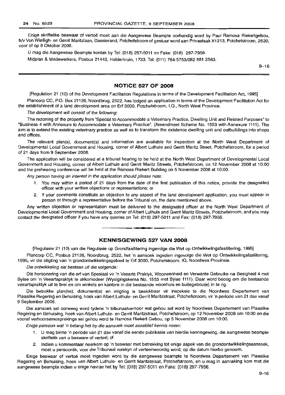Enige skriftelike beswaar of vertoe moet aan die Aangewese Beampte oorhandig word by Paul Ramosa Riekertgebou, h/v Von Wielligh- en Gerrit Maritzlaan, Dassierand, Potchefstroom of gestuur word aan Privaatsak X1213, Potchefstroom, 2520, voor of op 8 Oktober 2008.

U mag die Aangewese Beampte kontak by Tel: (018) 297-5011 en Faks: (018) 297-7956.

Midplan & Medewerkers, Posbus 21443, Helderkruin, 1733. Tel: (011) 764-5753/082 881 2563.

9-16

## **NOTICE 527 OF 2008**

[Regulation 21 (10) of the Development Facilitation Regulations in terms of the Development Facilitation Act, 1995]

Plancorp CC, P.O. Box 21126, Noordbrug, 2522, has lodged an application in terms of the Development Facilitation Act for the establishment of a land development area on Erf 3000, Potchefstroom, 1.0., North West Province.

The development will consist of the following:

The rezoning of the property from "Special to Accommodate a Veterinary Practice, Dwelling Unit and Related Purposes" to "Business 4 with Annexure to Accommodate a Veterinary Practice". (Amendment Scheme No. 1553 with Annexure 1111). The aim is to extend the existing veterinary practice as well as to transform the existence dwelling unit and outbuildings into shops and offices.

The relevant plan(s), document(s) and information are available for inspection at the North West Department of Developmental Local Government and Housing, corner of Albert Luthule and Gerrit Maritz Street, Potchefstroom, for a period of 21 days from 9 September 2008.

The application will be considered at a tribunal hearing to be held at the North West Department of Developmental Local Government and Housing, corner of Albert Luthule and Gerrit Maritz Streets, Potchefstroom, on 12 November 2008 at 10:00 and the prehearing conference will be held at the Ramosa Riekert Building on 5 November 2008 at 10:00.

Any person having an interest in the application should please note:

- 1. You may within a period of 21 days from the date of the first publication of this notice, provide the designated officer with your written objections or representations; or
- 2. If your comments constitute an objection to any aspect of the land development application, you must appear in person or through a representative before the Tribunal on, the date mentioned above.

Any written objection or representation must be delivered to the designated officer at the North West Department of Developmental Local Government and Housing, corner of Albert Luthule and Gerrit Maritz Streets, Potchefstroom, and you may contact the designated officer if you have any queries on Tel: (018) 297-5011 and Fax: (018) 297-7956.

## **KENNISGEWING 527 VAN 2008**

**• I**

[Regulasie 21 (10) van die Regulasie op Grondfasilitering ingevolge die Wet op Ontwikkelingsfasilitering, 1995]

Plancorp CC, Posbus 21126, Noordbrug, 2522, het 'n aansoek ingedien ingevolge die Wet op Ontwikkelingsfasilitering, 1995, vir die stigting van 'n grondontwikkelingsgebied te Erf 3000, Potchefstroom, la, Noordwes Provinsie.

Die ontwikkeling sal bestaan uit die volgende:

Die hersonering van die erf van Spesiaal vir 'n Veearts Praktyk, Wooneenheid en Verwante Gebruike na Besigheid 4 met Bylae om 'n Veeartspraktyk te akkomodeer (Wysigingskema No. 1553 met Bylae 1111). Daar word beoog am die bestaande veeartspraktyk uit te brei en om winkels en kantore in die bestaande woonhuis en buitegebou(e) in te rig.

Die betrokke plan(ne), dokument(e) en inligting is beskikbaar vir inspeksie te die Noordwes Departement van Plaaslike Regering en Behuising, hoek van Albert Luthule- en Gerrit Maritzstraat, Potchefstroom, vir'n periode van 21 dae vanaf 9 September 2008.

Die aansoek sal oorweeg word tydens 'n tribunaalverhoor wat gehou sal word by Noordwes Departement van Plaaslike Regering en Behuising, hoek van Albert Luthule- en Gerrit Maritzstraat, Potchefstroom, op 12 November 2008 am 10:00 en die vooraf verhoorsamesprekings sal gehou word te Ramosa Riekert Gebou, op 5 November 2008 om 10:00.

Enige persoon wat 'n belang het by die aansoek moet asseblief kennis neem:

- 1. U mag binne 'n periode van 21 dae vanaf die eerste publikasie van hierdie kennisgewing, die aangewese beampte skriftelik van u besware of vertoë: of
- 2. Indien u kommentaar neerkom op 'n beswaar met betrekking tot enige aspek van die grondontwikkelingsaansoek, moet u persoonlik, voor die Tribunaal verskyn of verteenwoordig word, op die datum hierbo genoem.

Enige beswaar of vertoë moet ingedien word by die aangewese beampte te Noordwes Departement van Plaaslike Regering en Behuising, hoek van Albert Luthule- en Gerrit Maritzstraat, Potchefstroom, en u mag in aanraking kom met die aangewese beampte indien u enige navrae het by Tel: (018) 297-5011 en Faks: (018) 297-7956.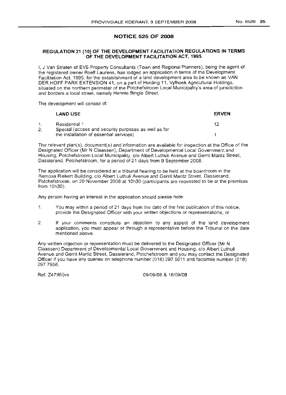ERVEN

## NOTICE 525 OF 2008

## REGULATION 21 (10) OF THE DEVELOPMENT FACILITATION REGULATIONS IN TERMS OF THE DEVELOPMENT FACILITATION ACT, 1995

I, J Van Straten of EVS Property Consultants (Town and Regional Planners), being the agent of the registered owner Roelf Laurens, has lodged an application in terms of the Development Facilitation Act, 1995, for the establishment of a land development area to be known as VAN DER HOFF PARK EXTENSION 41, on a part of Holding 11, Vyfhoek Agricultural Holdings, situated on the northern perimeter of the Potchefstroom Local Municipality's area of jurisdiction and borders a local street, namely Hennie Bingle Street.

The development will consist of:

#### LAND USE

| Residential 1                                        |  |
|------------------------------------------------------|--|
| Special (access and security purposes as well as for |  |
| the installation of essential services)              |  |

The relevant plan(s), document(s) and information are available for inspection at the Office of the Designated Officer (Mr N Claassen), Department of Developmental Local Government and Housing, Potchefstroom Local Municipality, c/o Albert Luthuli Avenue and Gerrit Maritz Street, Dassierand, Potchefstroom, for a period of 21 days from 9 September 2008.

The application will be considered at a tribunal hearing to be held at the boardroom in the Ramosa Riekert Building, c/o Albert Luthuli Avenue and Gerrit Maritz Street, Dassierand, Potchefstroom, on 20 November 2008 at 10h30 (participants are requested to be at the premises from 10h30).

Any person having an interest in the application should please note:

- 1. You may within a period of 21 days from the date of the first publication of this notice, provide the Designated Officer with your written objections or representations; or
- 2. If your comments constitute an objection to any aspect of the land development application, you must appear or through a representative before the Tribunal on the date mentioned above.

Any written objection or representation must be delivered to the Designated Officer (Mr N Claassen) Department of Developmental Local Government and Housing, c/o Albert Luthuli Avenue and Gerrit Martiz Street. Dassierand, Potchefstroom and you may contact the Designated Officer if you have any queries on telephone number (018) 297 5011 and facsimile number (018) 2977956.

Ref: Z4796/jvs 09/09/08 & 16/09/08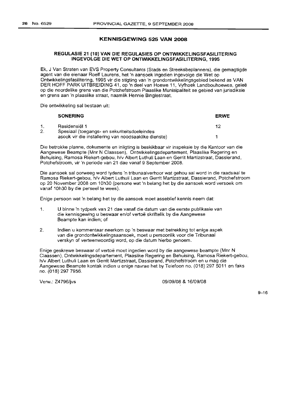## **KENNISGEWING 525 VAN 2008**

## **REGULASIE 21 (10) VAN DIE REGULASIES OP ONTWIKKELlNGSFASILITERING INGEVOLGE DIE WET OP ONTWIKKELlNGSFASILITERING, 1995**

Ek, J Van Straten van EVS Property Consultants (Stads en Streeksbeplanners), die gemagtigde agent van die eienaar Roelf Laurens, het 'n aansoek ingedien ingevolge die Wet op Ontwikkelingsfasilitering, 1995 vir die stigting van 'n grondontwikkelingsgebied bekend as VAN DER HOFF PARK UITBREIDING 41, op 'n deel van Hoewe 11, Vyfhoek Landbouhoewes, geleë op die noordelike grens van die Potchefstroom Plaaslike Munisipaliteit se gebied van jurisdiksie en grens aan 'n plaaslike straat, naamlik Hennie Binglestraat.

Die ontwikkeling sal bestaan uit:

|    | <b>SONERING</b>                                                                                      | <b>ERWE</b> |
|----|------------------------------------------------------------------------------------------------------|-------------|
|    | Residensiël 1                                                                                        | イク          |
| 2. | Spesiaal (toegangs- en sekuriteitsdoeleindes<br>asook vir die installering van noodsaaklike dienste) |             |

Die betrokke planne, dokumente en inligting is beskikbaar vir inspeksie by die Kantoor van die Aangewese Beampte (Mnr N Claassen), Ontwikkelingsdepartement, Plaaslike Regering en Behuising, Ramosa Riekert-gebou, h/v Albert Luthuli Laan en Gerrit Martizstraat, Dassierand, Potchefstroom, vir 'n periode van 21 dae vanaf 9 September 2008.

Die aansoek sal oorweeg word tydens 'n tribunaalverhoor wat gehou sal word in die raadsaal te Ramosa Riekert-gebou, h/v Albert Luthuli Laan en Gerrit Martizstraat, Dassierand, Potchefstroom op 20 November 2008 om 10h30 (persone wat 'n belang het by die aansoek word versoek om vanaf 10h30 by die perseel te wees).

Enige persoon wat 'n belang het by die aansoek moet asseblief kennis neem dat:

- 1. U binne 'n tydperk van 21 dae vanaf die datum van die eerste publikasie van die kennisgewing u beswaar en/of vertoë skriftelik by die Aangewese Beampte kan indien; of
- 2. lndien u kommentaar neerkom op 'n beswaar met betrekking tot enige aspek van die grondontwikkelingsaansoek, moet u persoonlik voor die Tribunaal verskyn of verteenwoordig word, op die datum hierbo genoem.

Enige geskrewe beswaar of vertoë moet ingedien word by die aangewese beampte (Mnr N Claassen), Ontwikkelingsdepartement, Plaaslike Regering en Behuising, Ramosa Riekert-gebou, h/v Albert Luthuli Laan en Gerrit Martizstraat, Dassierand, Potchefstroom en u mag die Aangewese Beampte kontak indien u enige navrae het by Telefoon no. (018) 2975011 en faks no. (018) 297 7956.

Verw.: Z4796/jvs *09/09/08* & *16/09/08*

9-16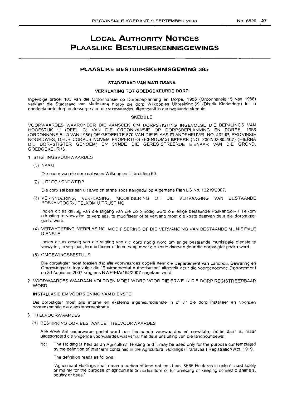## **LOCAL AUTHORITY NOTICES PLAASLIKE BESTUURSKENNISGEWINGS**

## **PLAASLIKE BESTUURSKENNISGEWING 385**

### **STADSRAAD VAN MATLOSANA**

## **VERKLARING TOT GOEDGEKEURDE DORP**

Ingevolge artikel 103 van die Ordonnansie op Dorpsbeplanning en Dorpe, 1986 (Ordonnansie 15 van 1986) verklaar die Stadsraad van Matlosana hierby die dorp Wilkoppies Uitbreiding 69 (Distrik Klerksdorp) tot 'n goedgekeurde dorp onderworpe aan die voorwaardes uiteengesit in die bygaande skedule.

## **SKEDULE**

VOORWAARDES WAARONDER DIE AANSOEK OM DORPSTIGTING INGEVOLGE DIE BEPALINGS VAN HOOFSTUK III (DEEL C) VAN DIE ORDONNANSIE OP DORPSBEPLANNING EN DORPE, 1986 (ORDONNANSIE 15 VAN 1986) OP GEDEELTE 870 VAN DIE PLAAS ELANDSHEUVEL NO. 402-IP, PROVINSIE NOORDWES, DEUR CORPUS NOVEM PROPERTIES (EIENDOMS) BEPERK (NO. 2007/020052/07) (HIERNA DIE DORPSTIGTER GENOEM) EN SYNDE DIE GEREGISTREERDE EIENAAR VAN DIE GROND, GOEDGEKEUR IS

## 1. STIGTINGSVOORWAARDES

(1) NAAM

Die naam van die dorp sal wees Wilkoppies Uitbreiding 69.

(2) UITLEG *1*ONTWERP

Die dorp sal bestaan uit erwe en strate soos aangedui op Aigemene Plan LG No. 13219/2007.

(3) VERWYD=RING, VERPLASING, MODIFISERING OF DIE VERVANGING VAN BESTAANDE POSKANTOOR- / TELKOM UITRUSTING

Indien dit as gevolg van die stigting van die dorp nodig word om enige bestaande Poskantoor- 1 Telkom uitrusting te verwyder, te verplaas, te modifiseer of te vervang moet die koste daarvan deur die dorpstigter gedra word.

(4) VERWYDERING, VERPLASING, MODIFISERING OF DIE VERVANGING VAN BESTAANDE MUNISIPALE DIENSTE

Indien dit as gevolg van die stigting van die dorp nodig word om enige bestaande munisipale dienste te verwyder, te verplaas, te modifiseer of te vervang moet die koste daarvan deur die dorpstigter gedra word.

(5) OMGEWINGSBESTUUR

Die dorpstigter moet toesien dat aile voorwaardes opqele deur die Departement van Landbou, Bewaring en Omgewingsake ingevolge die "Environmental Authorisation" uitgereik deur die voorgenoemde Departement op 30 Augustus 2007 kragtens NWP/EIAl164/2007 nagekom word.

## 2. VOORWAARDES WAARAAN VOLDOEN MOET WORD VOOR DIE ERWE IN DIE DORP REGISTREERBAAR WORD

#### INSTALLASIE EN VOORSIENfNG VAN DIENSTE

Die dorpstigter moet aile interne en eksterne ingenieursdienste in of vir die dorp installeer en voorsien ooreenkornstiq die diensteooreenkoms.

## 3. TITELVOORWAARDES

(1) BESKIKKING OOR BESTAANDE TITELVOORWAARDES

Aile erwe sal onderworpe gestel word aan bestaande voorwaardes en serwitute, indien daar is, maar uitgesonderd die volgende voorwaardes wat verval het deur uitsluiting van die landbouhoewe:

"(c) The Holding is held as an Agricultural Holding and it may be used only for the purpose contemplated by the definition of that term contained in the Agricultural Holdings (Transvaal) Registration Act, 1919.

The definition reads as follows:

"Agricultural Holdings shall mean a portion of land not less than ,8565 Hectares in extent used solely or mainly for the purpose of agricultural or horticulture or for breeding or keeping domestic animals, poultry or bees."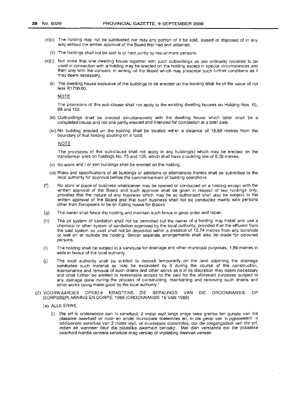- (d)(i) The holding may not be subdivided nor may any portion of it be sold, leased or disposed of in any way without the written approval of the Board first had and obtained.
	- (ii) The holdings shall not be sold to or held jointly by two or more persons.
- (e)(i) Not more that one dwelling house together with such outbuildings as are ordinarily required to be used in connection with a holding may be erected on the holding except in special circumstances and then only with the consent, in writing, of the Board which may prescribe such further conditions as it may deem necessary.
	- (ii) The dwelling house exclusive of the buildings to be erected on the holding shall be of the value of not less R1700,00.

NOTE

The provisions of this sub-clause shall not apply to the existing dwelling houses on Holding Nos. 65, 68 and 102.

- (iii) Outbuildings shall be erected simultaneously with the dwelling house which latter shall be a' completed house and not one partly erected and intended for completion at a later date.
- (iv) No building erected on the holding shall be located within a distance of 18,89 metres from the boundary of that holding abutting on a road.

NOTE

The provisions of this sub-clause shall not apply to any building(s) which may be erected on the transformer sites on holdings No. 75 and 106, which shall have a building line of 6,30 metres.

- (v) No wood and  $\ell$  or iron buildings shall be erected on the holding.
- (vi) Plans and specifications of all buildings or additions or alternations thereto shall be submitted to the local authority for approval before the commencement of building operations.
- (f) No store or place of business whatsoever may be opened or conducted on a holding except with the written approval of the Board and such approval shall be given in respect of two holdings only, provided that the nature of any business which may be so authorised shall also be subject to the written approval of the Board and that such business shall not be conducted mainly with persons other than Europeans or be an Eating house for Blacks.
- (g) The owner shall fence the holding and maintain such fence in good order and repair.
- (h) The pit system of sanitation shall not be permitted but the owner of a holding may install and use a chemical or other system of sanitation approved by the local authority, provided that the effluent from the said system so used shall not be deposited within a distance of 15,74 metres from any borehole or well on or outside the holding. Similar separate arrangements shall also be made for coloured persons.
- (i) The holding shall be subject to a servitude for drainage and other municipal purposes, 1,89 metres in wide in favour of the local authority.
- (j) The local authority shall be entitled to deposit temporarily on the land adjoining the drainage servitudes such material as may be excavated by it during the course of the construction, maintenance and removal of such drains and other works as it in its discretion may deem necessary and shall further be entitled to reasonable access to the said for the aforesaid purposes subject to any damage done during the process of constructing, maintaining and removing such drains and other works being made good by the local authority."
- (2) VOORWAARDES OPGELe KRAGTENS DIE BEPALINGS VAN DIE ORDONNANSIE OP DORPSBEPLANNING EN DORPE, 1986 (ORDONNANSIE 15 VAN 1986)
	- (a) ALLE ERWE
		- (i) Die erf is onderworpe aan 'n serwituut, 2 meter wyd langs enige twee grense ten gunste van die plaaslike owerheid vir riool- en ander munisipale doeleindes en, in die geval van 'n pypsteelerf, 'n addisionele serwituut van 2 meter wyd, vir munisipale doeleindes, oor die toegangsdeel van die erf, indien en wanneer deur die plaaslike owerheid benodig: Met dien verstande dat die plaaslike owerheid hierdie vereiste serwitute mag verslap of vrystelling daarvan verleen.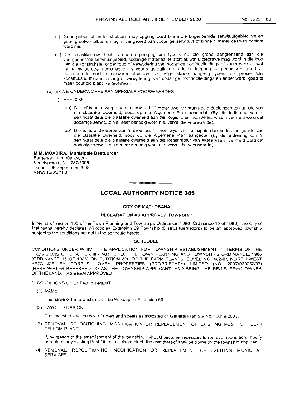- (ii) Geen gebou of ander struktuur mag opgerig word binne die bogenoemde serwituutgebied nie en geen grootwortelbome mag in die gebied van sodanige serwituut of binne 1 meter daarvan geplant word nie.
- (iii) Die plaaslike owerheid is daarop geregtig om tydelik op die grond aangrensend aan die voorgenoemde serwituutgebied, sodanige materiaal te stort as wat uitgegrawe mag word in die loop van die konstruksie, onderhoud of verwydering van sodanige hoofrioolleidings of ander werk as wat hy na sy oordeel nodig ag en is voorts geregtig op redelike toegang tot genoemde grond vir bogenoemde doel, onderworpe daaraan dat enige skade aangerig tydens die proses van konstruksie, instandhouding of verwydering van sodanige hoofrioolleidings en ander werk, goed te maak deur die plaaslike owerheid.
- (b) ERWE ONDERWORPE AAN SPESIALE VOORWAARDES
	- (i) ERF 3086
		- (aa) Die erf is onderworpe aan 'n serwituut 12 meter wyd vir munisipale doeleindes ten gunste van die plaaslike owerheid, soos op die Aigemene Plan aangedui. (By die indiening van 'n sertifikaat deur die plaaslike owerheid aan die Registrateur van Aktes waarin vermeld word dat sodanige serwituut nie meer benodig word nie, verval die voorwaarde).
		- (bb) Die erf is onderworpe aan 'n serwituut 4 meter wyd vir munisipale doeleindes ten gunste van die plaaslike owerheid, soos op die Aigemene Plan aangedui. (By die indiening van 'n sertifikaat deur die plaaslike owerheid aan die Registrateur van Aktes waarin vermeld word dat sodanige serwituut nie meer benodig word nie, verval die voorwaarde).

## M.M. MOADIRA, Munisipale Bestuurder

Burgersentrum, Klerksdorp Kennisgewing No. 287/2008 Datum: 09 September 2008 Verw: 16/3/2/180

## **• LOCAL AUTHORITY NOTICE 385**

## CITY OF MATLOSANA

## DECLARATION AS APPROVED TOWNSHIP

In terms of section 103 of the Town Planning and Townships Ordinance, 1986 (Ordinance 15 of 1986), the City of Matlosana hereby declares Wilkoppies Extension 69 Township (District Klerksdorp) to be an approved township subject to the conditions set out in the schedule hereto.

## **SCHEDULE**

CONDITIONS UNDER WHICH THE APPLICATION FOR TOWNSHIP ESTABLISHMENT IN TERMS OF THE PROVISIONS OF CHAPTER III (PART C) OF THE TOWN PLANNING AND TOWNSHIPS ORDINANCE, 1986 (ORDINANCE 15 OF 1986) ON PORTION 870 OF THE FARM ELANDSHEUVEL NO. 402-IP, NORTH WEST PROVINCE BY CORPUS NOVEM PROPERTIES (PROPRIETARY) LIMITED (NO. 2007/020052/07) (HEREINAFTER REFERRED TO AS THE TOWNSHIP APPLICANT) AND BEING THE REGISTERED OWNER OF THE LAND, HAS BEEN APPROVED.

- 1. CONDITIONS OF ESTABLISHMENT
	- (1) NAME

The name of the township shall be Wilkoppies Extension 69.

(2) LAYOUT *1*DESIGN

The township shall consist of erven and streets as indicated on General Plan SG No. 13219/2007.

(3) REMOVAL, REPOSITIONING, MODIFICATION OR REPLACEMENT OF EXISTING POST OFFICE- 1 TELKOM PLANT

If, by reason of the establishment of the township, it should become necessary to remove, reposition, modify or replace any existing Post Office-I Telkom plant, the cost thereof shall be borne by the township applicant.

(4) REMOVAL, REPOSITIONING, MODIFICATION OR REPLACEMENT OF EXISTING MUNICIPAL **SERVICES**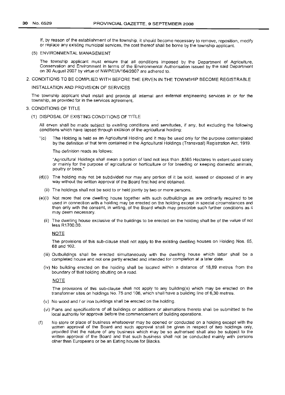If, by reason of the establishment of the township, it should become necessary to remove, reposition, modify or replace any existing municipal services, the cost thereof shall be borne by the township applicant.

## (5) ENVIRONMENTAL MANAGEMENT

The township applicant must ensure that all conditions imposed by the Department of Agriculture, Conservation and Environment in terms of the Environmental Authorisation issued by the said Department on 30 August 2007 by virtue of NWP/EIA/164/2007 are adhered to.

2. CONDITIONS TO BE COMPLIED WITH BEFORE THE ERVEN IN THE TOWNSHIP BECOME REGISTRABLE

### INSTALLATION AND PROVISION OF SERVICES

The township applicant shall install and provide all internal and external engineering services in or for the township, as provided for in the services agreement.

## 3. CONDITIONS OF TITLE

(1) DISPOSAL OF EXISTING CONDITIONS OF TITLE

All erven shall be made subject to existing conditions and servitudes, if any, but excluding the following conditions which have lapsed through excision of the agricultural holding:

"(c) The Holding is held as an Agricultural Holding and it may be used only for the purpose contemplated by the definition of that term contained in the Agricultural Holdings (Transvaal) Registration Act, 1919.

The definition reads as follows:

"Agricultural Holdings shall mean a portion of land not less than ,8565 Hectares in extent used solely or mainly for the purpose of agricultural or horticulture or for breeding or keeping domestic animals, poultry or bees."

- (d)(i) The holding may not be subdivided nor may any portion of it be sold, leased or disposed of in any way without the written approval of the Board first had and obtained.
	- (ii) The holdings shall not be sold to or held jointly by two or more persons.
- (e)(i) Not more that one dwelling house together with such outbuildings as are ordinarily required to be used in connection with a holding may be erected on the holding except in special circumstances and then only with the consent, in writing, of the Board which may prescribe such further conditions as it may deem necessary.
	- (ii) The dwelling house exclusive of the buildings to be erected on the holding shall be of the value of not less R1700,OO.

## NOTE

The provisions of this sub-clause shall not apply to the existing dwelling houses on Holding Nos. 65, 68 and 102.

- (iii) Outbuildings shall be erected simultaneously with the dwelling house which latter shall be a completed house and not one partly erected and intended for completion at a later date.
- (iv) No building erected on the holding shall be located within a distance of 18,89 metres from the boundary of that holding abutting on a road.

## **NOTE**

The provisions of this sub-clause shall not apply to any building(s) which may be erected on the transformer sites on holdings No. 75 and 106, which shall have a building line of 6,30 metres.

- (v) No wood and / or iron buildings shall be erected on the holding.
- (Vi) Plans and specifications of all buildings or additions or alternations thereto shall be submitted to the local authority for approval before the commencement of building operations.
- (f) No store or place of business whatsoever may be opened or conducted on a holding except with the written approval of the Board and such approval shall be given in respect of two holdings only, provided that the nature of any business which may be so authorised shall also be subject to the written approval of the Board and that such business shall not be conducted mainly with persons other than Europeans or be an Eating house for Blacks.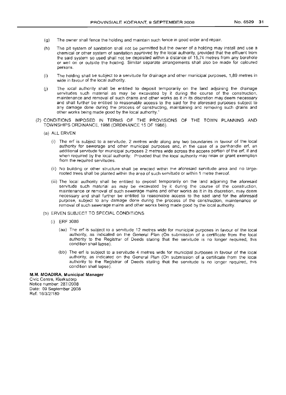- 
- (g) The owner shall fence the holding and maintain such fence in good order and repair.
- (h) The pit system of sanitation shall not be permitted but the owner of a holding may install and use a chemical or other system of sanitation approved by the local authority, provided that the effluent from the said system so used shall not be deposited within a distance of 15,74 metres from any borehole or well on or outside the holding. Similar separate arrangements shall also be made for coloured persons.
- (i) The holding shall be subject to a servitude for drainage and other municipal purposes, 1,89 metres in wide in favour of the local authority.
- U) The local authority shall be entitled to deposit temporarily on the land adjoining the drainage servitudes such material as may be excavated by it during the course of the construction, maintenance and removal of such drains and other works as it in its discretion may deem necessary and shall further be entitled to reasonable access to the said for the aforesaid purposes subject to any damage done during the process of constructing, maintaining and removing such drains and other works being made good by the local authority."
- (2) CONDITIONS IMPOSED IN TERMS OF THE PROVISIONS OF THE TOWN PLANNING AND TOWNSHIPS ORDINANCE, 1986 (ORDINANCE 15 OF 1986).
	- (a) ALL ERVEN
		- (i) The erf is subject to a servitude, 2 metres wide along any two boundaries in favour of the local authority for sewerage and other municipal purposes and, in the case of a panhandle erf, an additional servitude for municipal purposes 2 metres wide across the access portion of the erf, if and when required by the local authority: Provided that the local authority may relax or grant exemption from the required servitudes.
		- (ii) No building or other structure shall be erected within the aforesaid servitude area and no largerooted trees shall be planted within the area of such servitude or within 1 metre thereof.
		- (iii) The local authority shall be entitled to deposit temporarily on the land adjoining the aforesaid servitude such material as may be excavated by it during the course of the construction, maintenance or removal of such sewerage mains and other works as it in its discretion, may deem necessary and shall further be entitled to reasonable access to the said land for the aforesaid purpose, SUbject to any damage done during the process of the construction, maintenance or removal of such sewerage mains and other works being made good by the local authority.
	- (b) ERVEN SUBJECT TO SPECIAL CONDITIONS
		- (i) ERF 3086
			- (aa) The erf is subject to a servitude 12 metres wide for municipal purposes in favour of the local authority, as indicated on the General Plan (On submission of a certificate from the local authority to the Registrar of Deeds stating that the servitude is no longer required, this condition shall lapse).
			- (bb) The erf is subject to a servitude 4 metres wide for municipal purposes in favour of the local authority, as indicated on the General Plan (On submission of a certificate from the local authority to the Registrar of Deeds stating that the servitude is no longer required, this condition shall lapse).

## M.M. **MOADIRA, Municipal** Manager

Civic Centre, Klerksdorp Notice number: 287/2008 Date: 09 September 2008 Ref: 16/3/2/180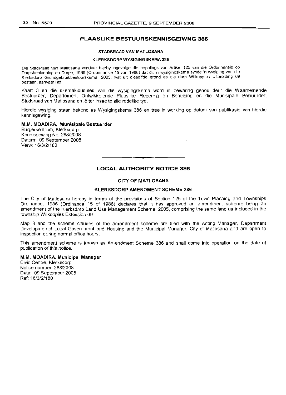## **PLAASLIKE BESTUURSKENNISGEIWNG 386**

## STADSRAAD VAN MATLOSANA

### KLERKSDORP WYSIGINGSKEMA 386

Die Stadsraad *van* Matlosana verklaar hierby ingevolge die bepalings *van* Artikel 125 *van* die Ordonnansle op Dorpsbeplanning en Dorpe, 1986 (Ordonnansie 15 *van* 1986) dat dit 'n wysigingskema synde 'n wysiging *van* die Klerksdorp Grandgebruikbestuurskema, 2005, wat uit dieselfde grand as die dorp Wilkoppies Uitbreiding 69 bestaan, aanvaar het.

Kaart 3 en die skemaklousules van die wysigingskema word in bewaring gehou deur die Waarnemende Bestuurder, Departement Ontwikkelende Plaaslike Regering en Behuising en die Munisipale Bestuurder, Stadsraad van Matiosana en lê ter insae te alle redelike tye.

Hierdie wysiging staan bekend as Wysigingskema 386 en tree in werking op datum van publikasie van hierdie kennisgewing.

## M.M. MOADIRA, Munisipale Bestuurder

Burgersentrum, Klerksdorp Kennisgewing No. 288/2008 Datum: 09 September 2008 Verw: 16/3/2/180

## **LOCAL AUTHORITY NOTICE 386**

.**- .**

## CITY OF MATLOSANA

## KLERKSDORP AMENDMENT SCHEME 386

The City of Matlosana hereby in terms of the provisions of Section 125 of the Town Planning and Townships Ordinance, 1986 (Ordinance 15 of 1986) declares that it has approved an amendment scheme being an amendment of the Klerksdorp Land Use Management Scheme, 2005, comprising the same land as included in the township Wilkoppies Extension 69.

Map 3 and the scheme clauses of the amendment scheme are filed with the Acting Manager, Department Developmental Local Government and Housing and the Municipal Manager, City of Matlosana and are open to inspection during normal office hours.

This amendment scheme is known as Amendment Scheme 386 and shall come into operation on the date of publication of this notice.

## M.M. MOADIRA, Municipal Manager

Civic Centre, Klerksdorp Notice num ber: 288/2008 Date: 09 September 2008 Ref: 16/3/2/180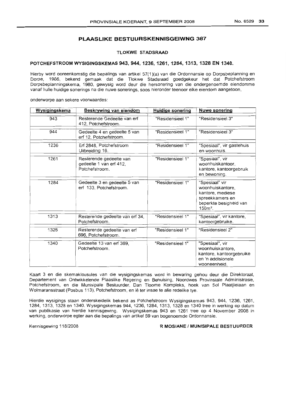## **PLAASLIKE BESTUURSKENNISGEIWNG 387**

## **TLOKWE STADSRAAD**

## **POTCHEFSTROOM WYSIGINGSKEMAS 943,944,1236,1261, 1284, 1313, 1328 EN 1340.**

Hierby word ooreenkomstig die bepalings van artikel 57(1 )(a) van die Ordonnansie op Dorpsbeplanning en Dorpe, 1986, bekend gemaak dat die Tlokwe Stadsraad goedgekeur het dat Potchefstroom Dorpsbeplanningskema, 1980, gewysig word deur die hersonering van die ondergenoemde eiendomme vanaf hulle huidige sonerings na die nuwe sonerings, soos hieronder teenoor elke eiendom aangetoon,

onderworpe aan sekere voorwaardes:

| Wysigingskema | Beskrywing van eiendom                                               | <b>Huidige sonering</b> | <b>Nuwe sonering</b>                                                                                              |
|---------------|----------------------------------------------------------------------|-------------------------|-------------------------------------------------------------------------------------------------------------------|
| 943           | Resterende Gedeelte van erf<br>412, Potchefstroom.                   | "Residensieel 1"        | "Residensieel 3"                                                                                                  |
| 944           | Gedeelte 4 en gedeelte 5 van<br>erf 12. Potchefstroom.               | "Residensieel 1"        | "Residensieel 3"                                                                                                  |
| 1236          | Erf 2848, Potchefstroom<br>Uitbreiding 16.                           | "Residensieel 1"        | "Spesiaal", vir gastehuis<br>en woonhuis.                                                                         |
| 1261          | Resterende gedeelte van<br>gedeelte 1 van erf 412,<br>Potchefstroom. | "Residensieel 1"        | "Spesiaal", vir<br>woonhuiskantoor.<br>kantore, kantoorgebruik<br>en bewoning.                                    |
| 1284          | Gedeelte 3 en gedeelte 5 van<br>erf 133, Potchefstroom.              | "Residensieel 1"        | "Spesiaal" vir<br>woonhuiskantore.<br>kantore, mediese<br>spreekkamers en<br>beperkte besigheid van<br>$150m^2$ . |
| 1313          | Resterende gedeelte van erf 34,<br>Potchefstroom.                    | "Residensieel 1"        | "Spesiaal", vir kantore,<br>kantoorgebruike.                                                                      |
| 1328          | Resterende gedeelte van erf<br>696, Potchefstroom.                   | "Residensieel 1"        | "Residensieel 2"                                                                                                  |
| 1340          | Gedeelte 13 van erf 369.<br>Potchefstroom.                           | "Residensieel 1"        | "Spesiaal", vir<br>woonhuiskantore,<br>kantore, kantoorgebruike<br>en 'n addisionele<br>wooneenheid.              |

Kaart 3 en die skemaklousules van die wysigingskemas word in bewaring gehou deur die Direktoraat, Departement van Ontwikkelende Plaaslike Regering en Behuising, Noordwes Provinsiale Administrasie, Potchefstroom, en die Munisipale Bestuurder, Dan Tloome Kompleks, hoek van Sol Plaatjielaan en Wolmaransstraat (Posbus 113), Potchefstroom, en lê ter insae te alle redelike tye.

Hierdie wysigings staan onderskeidelik bekend as Potchefstroom Wysigingskemas 943, 944, 1236, 1261, 1284, 1313, 1328 en 1340. Wysigingskemas 944, 1236, 1284, 1313, 1328 en 1340 tree in werking op datum van publikasie van hierdie kennisgewing. Wysigingskemas 943 en 1261 tree op 4 November 2008 in werking, onderworpe egter aan die bepalings van artikel 59 van bogenoemde Ordonnansie.

### Kennisgewing 118/2008 **R MOSIANE / MUNISIPALE BESTUURDER**